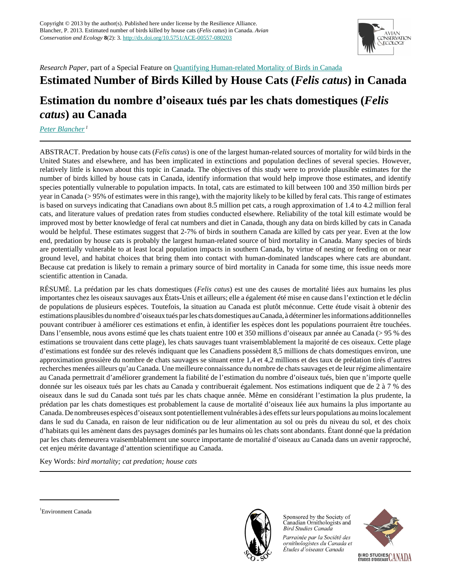

*Research Paper*, part of a Special Feature on [Quantifying Human-related Mortality of Birds in Canada](http://www.ace-eco.org/viewissue.php?sf=4)

# **Estimated Number of Birds Killed by House Cats (***Felis catus***) in Canada**

# **Estimation du nombre d'oiseaux tués par les chats domestiques (***Felis catus***) au Canada**

*[Peter Blancher](mailto:Peter.Blancher@ec.gc.ca)<sup>1</sup>*

ABSTRACT. Predation by house cats (*Felis catus*) is one of the largest human-related sources of mortality for wild birds in the United States and elsewhere, and has been implicated in extinctions and population declines of several species. However, relatively little is known about this topic in Canada. The objectives of this study were to provide plausible estimates for the number of birds killed by house cats in Canada, identify information that would help improve those estimates, and identify species potentially vulnerable to population impacts. In total, cats are estimated to kill between 100 and 350 million birds per year in Canada (> 95% of estimates were in this range), with the majority likely to be killed by feral cats. This range of estimates is based on surveys indicating that Canadians own about 8.5 million pet cats, a rough approximation of 1.4 to 4.2 million feral cats, and literature values of predation rates from studies conducted elsewhere. Reliability of the total kill estimate would be improved most by better knowledge of feral cat numbers and diet in Canada, though any data on birds killed by cats in Canada would be helpful. These estimates suggest that 2-7% of birds in southern Canada are killed by cats per year. Even at the low end, predation by house cats is probably the largest human-related source of bird mortality in Canada. Many species of birds are potentially vulnerable to at least local population impacts in southern Canada, by virtue of nesting or feeding on or near ground level, and habitat choices that bring them into contact with human-dominated landscapes where cats are abundant. Because cat predation is likely to remain a primary source of bird mortality in Canada for some time, this issue needs more scientific attention in Canada.

RÉSUMÉ. La prédation par les chats domestiques (*Felis catus*) est une des causes de mortalité liées aux humains les plus importantes chez les oiseaux sauvages aux États-Unis et ailleurs; elle a également été mise en cause dans l'extinction et le déclin de populations de plusieurs espèces. Toutefois, la situation au Canada est plutôt méconnue. Cette étude visait à obtenir des estimations plausibles du nombre d'oiseaux tués par les chats domestiques au Canada, à déterminer les informations additionnelles pouvant contribuer à améliorer ces estimations et enfin, à identifier les espèces dont les populations pourraient être touchées. Dans l'ensemble, nous avons estimé que les chats tuaient entre 100 et 350 millions d'oiseaux par année au Canada (> 95 % des estimations se trouvaient dans cette plage), les chats sauvages tuant vraisemblablement la majorité de ces oiseaux. Cette plage d'estimations est fondée sur des relevés indiquant que les Canadiens possèdent 8,5 millions de chats domestiques environ, une approximation grossière du nombre de chats sauvages se situant entre 1,4 et 4,2 millions et des taux de prédation tirés d'autres recherches menées ailleurs qu'au Canada. Une meilleure connaissance du nombre de chats sauvages et de leur régime alimentaire au Canada permettrait d'améliorer grandement la fiabilité de l'estimation du nombre d'oiseaux tués, bien que n'importe quelle donnée sur les oiseaux tués par les chats au Canada y contribuerait également. Nos estimations indiquent que de 2 à 7 % des oiseaux dans le sud du Canada sont tués par les chats chaque année. Même en considérant l'estimation la plus prudente, la prédation par les chats domestiques est probablement la cause de mortalité d'oiseaux liée aux humains la plus importante au Canada. De nombreuses espèces d'oiseaux sont potentiellement vulnérables à des effets sur leurs populations au moins localement dans le sud du Canada, en raison de leur nidification ou de leur alimentation au sol ou près du niveau du sol, et des choix d'habitats qui les amènent dans des paysages dominés par les humains où les chats sont abondants. Étant donné que la prédation par les chats demeurera vraisemblablement une source importante de mortalité d'oiseaux au Canada dans un avenir rapproché, cet enjeu mérite davantage d'attention scientifique au Canada.

Key Words: *bird mortality; cat predation; house cats*



Sponsored by the Society of Canadian Ornithologists and **Bird Studies Canada** 

Parrainée par la Société des ornithologistes du Canada et Études d'oiseaux Canada



<sup>1</sup> Environment Canada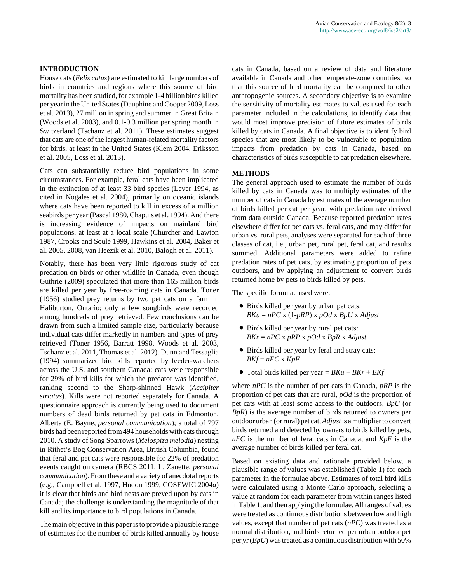# **INTRODUCTION**

House cats (*Felis catus*) are estimated to kill large numbers of birds in countries and regions where this source of bird mortality has been studied, for example 1-4 billion birds killed per year in the United States (Dauphine and Cooper 2009, Loss et al. 2013), 27 million in spring and summer in Great Britain (Woods et al. 2003), and 0.1-0.3 million per spring month in Switzerland (Tschanz et al. 2011). These estimates suggest that cats are one of the largest human-related mortality factors for birds, at least in the United States (Klem 2004, Eriksson et al. 2005, Loss et al. 2013).

Cats can substantially reduce bird populations in some circumstances. For example, feral cats have been implicated in the extinction of at least 33 bird species (Lever 1994, as cited in Nogales et al. 2004), primarily on oceanic islands where cats have been reported to kill in excess of a million seabirds per year (Pascal 1980, Chapuis et al. 1994). And there is increasing evidence of impacts on mainland bird populations, at least at a local scale (Churcher and Lawton 1987, Crooks and Soulé 1999, Hawkins et al. 2004, Baker et al. 2005, 2008, van Heezik et al. 2010, Balogh et al. 2011).

Notably, there has been very little rigorous study of cat predation on birds or other wildlife in Canada, even though Guthrie (2009) speculated that more than 165 million birds are killed per year by free-roaming cats in Canada. Toner (1956) studied prey returns by two pet cats on a farm in Haliburton, Ontario; only a few songbirds were recorded among hundreds of prey retrieved. Few conclusions can be drawn from such a limited sample size, particularly because individual cats differ markedly in numbers and types of prey retrieved (Toner 1956, Barratt 1998, Woods et al. 2003, Tschanz et al. 2011, Thomas et al. 2012). Dunn and Tessaglia (1994) summarized bird kills reported by feeder-watchers across the U.S. and southern Canada: cats were responsible for 29% of bird kills for which the predator was identified, ranking second to the Sharp-shinned Hawk (*Accipiter striatus*). Kills were not reported separately for Canada. A questionnaire approach is currently being used to document numbers of dead birds returned by pet cats in Edmonton, Alberta (E. Bayne, *personal communication*); a total of 797 birds had been reported from 494 households with cats through 2010. A study of Song Sparrows (*Melospiza melodia*) nesting in Rithet's Bog Conservation Area, British Columbia, found that feral and pet cats were responsible for 22% of predation events caught on camera (RBCS 2011; L. Zanette, *personal communication*). From these and a variety of anecdotal reports (e.g., Campbell et al. 1997, Hudon 1999, COSEWIC 2004*a*) it is clear that birds and bird nests are preyed upon by cats in Canada; the challenge is understanding the magnitude of that kill and its importance to bird populations in Canada.

The main objective in this paper is to provide a plausible range of estimates for the number of birds killed annually by house cats in Canada, based on a review of data and literature available in Canada and other temperate-zone countries, so that this source of bird mortality can be compared to other anthropogenic sources. A secondary objective is to examine the sensitivity of mortality estimates to values used for each parameter included in the calculations, to identify data that would most improve precision of future estimates of birds killed by cats in Canada. A final objective is to identify bird species that are most likely to be vulnerable to population impacts from predation by cats in Canada, based on characteristics of birds susceptible to cat predation elsewhere.

#### **METHODS**

The general approach used to estimate the number of birds killed by cats in Canada was to multiply estimates of the number of cats in Canada by estimates of the average number of birds killed per cat per year, with predation rate derived from data outside Canada. Because reported predation rates elsewhere differ for pet cats vs. feral cats, and may differ for urban vs. rural pets, analyses were separated for each of three classes of cat, i.e., urban pet, rural pet, feral cat, and results summed. Additional parameters were added to refine predation rates of pet cats, by estimating proportion of pets outdoors, and by applying an adjustment to convert birds returned home by pets to birds killed by pets.

The specific formulae used were:

- Birds killed per year by urban pet cats:  $BKu = nPC \times (1-pRP) \times pOd \times BpU \times Adjust$
- Birds killed per year by rural pet cats: *BKr* = *nPC* x *pRP* x *pOd* x *BpR* x *Adjust*
- Birds killed per year by feral and stray cats: *BKf* = *nFC* x *KpF*
- Total birds killed per year =  $B K u + B K r + B K f$

where *nPC* is the number of pet cats in Canada, *pRP* is the proportion of pet cats that are rural, *pOd* is the proportion of pet cats with at least some access to the outdoors, *BpU* (or *BpR*) is the average number of birds returned to owners per outdoor urban (or rural) pet cat, *Adjust* is a multiplier to convert birds returned and detected by owners to birds killed by pets, *nFC* is the number of feral cats in Canada, and *KpF* is the average number of birds killed per feral cat.

Based on existing data and rationale provided below, a plausible range of values was established (Table 1) for each parameter in the formulae above. Estimates of total bird kills were calculated using a Monte Carlo approach, selecting a value at random for each parameter from within ranges listed in Table 1, and then applying the formulae. All ranges of values were treated as continuous distributions between low and high values, except that number of pet cats (*nPC*) was treated as a normal distribution, and birds returned per urban outdoor pet per yr (*BpU*) was treated as a continuous distribution with 50%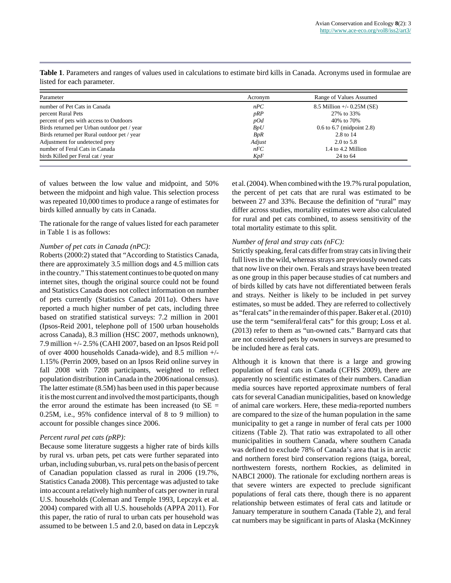| Parameter                                   | Acronym    | Range of Values Assumed          |
|---------------------------------------------|------------|----------------------------------|
| number of Pet Cats in Canada                | nPC        | 8.5 Million $+/- 0.25M$ (SE)     |
| percent Rural Pets                          | pRP        | 27% to 33%                       |
| percent of pets with access to Outdoors     | pQ         | 40% to 70%                       |
| Birds returned per Urban outdoor pet / year | BpU        | $0.6$ to $6.7$ (midpoint $2.8$ ) |
| Birds returned per Rural outdoor pet / year | <b>BpR</b> | 2.8 to 14                        |
| Adjustment for undetected prey              | Adjust     | $2.0 \text{ to } 5.8$            |
| number of Feral Cats in Canada              | nFC        | 1.4 to 4.2 Million               |
| birds Killed per Feral cat / year           | KpF        | 24 to 64                         |

**Table 1**. Parameters and ranges of values used in calculations to estimate bird kills in Canada. Acronyms used in formulae are listed for each parameter.

of values between the low value and midpoint, and 50% between the midpoint and high value. This selection process was repeated 10,000 times to produce a range of estimates for birds killed annually by cats in Canada.

The rationale for the range of values listed for each parameter in Table 1 is as follows:

# *Number of pet cats in Canada (nPC):*

Roberts (2000:2) stated that "According to Statistics Canada, there are approximately 3.5 million dogs and 4.5 million cats in the country." This statement continues to be quoted on many internet sites, though the original source could not be found and Statistics Canada does not collect information on number of pets currently (Statistics Canada 2011*a*). Others have reported a much higher number of pet cats, including three based on stratified statistical surveys: 7.2 million in 2001 (Ipsos-Reid 2001, telephone poll of 1500 urban households across Canada), 8.3 million (HSC 2007, methods unknown), 7.9 million +/- 2.5% (CAHI 2007, based on an Ipsos Reid poll of over 4000 households Canada-wide), and 8.5 million +/- 1.15% (Perrin 2009, based on an Ipsos Reid online survey in fall 2008 with 7208 participants, weighted to reflect population distribution in Canada in the 2006 national census). The latter estimate (8.5M) has been used in this paper because it is the most current and involved the most participants, though the error around the estimate has been increased (to  $SE =$ 0.25M, i.e., 95% confidence interval of 8 to 9 million) to account for possible changes since 2006.

#### *Percent rural pet cats (pRP):*

Because some literature suggests a higher rate of birds kills by rural vs. urban pets, pet cats were further separated into urban, including suburban, vs. rural pets on the basis of percent of Canadian population classed as rural in 2006 (19.7%, Statistics Canada 2008). This percentage was adjusted to take into account a relatively high number of cats per owner in rural U.S. households (Coleman and Temple 1993, Lepczyk et al. 2004) compared with all U.S. households (APPA 2011). For this paper, the ratio of rural to urban cats per household was assumed to be between 1.5 and 2.0, based on data in Lepczyk et al. (2004). When combined with the 19.7% rural population, the percent of pet cats that are rural was estimated to be between 27 and 33%. Because the definition of "rural" may differ across studies, mortality estimates were also calculated for rural and pet cats combined, to assess sensitivity of the total mortality estimate to this split.

# *Number of feral and stray cats (nFC):*

Strictly speaking, feral cats differ from stray cats in living their full lives in the wild, whereas strays are previously owned cats that now live on their own. Ferals and strays have been treated as one group in this paper because studies of cat numbers and of birds killed by cats have not differentiated between ferals and strays. Neither is likely to be included in pet survey estimates, so must be added. They are referred to collectively as "feral cats" in the remainder of this paper. Baker et al. (2010) use the term "semiferal/feral cats" for this group; Loss et al. (2013) refer to them as "un-owned cats." Barnyard cats that are not considered pets by owners in surveys are presumed to be included here as feral cats.

Although it is known that there is a large and growing population of feral cats in Canada (CFHS 2009), there are apparently no scientific estimates of their numbers. Canadian media sources have reported approximate numbers of feral cats for several Canadian municipalities, based on knowledge of animal care workers. Here, these media-reported numbers are compared to the size of the human population in the same municipality to get a range in number of feral cats per 1000 citizens (Table 2). That ratio was extrapolated to all other municipalities in southern Canada, where southern Canada was defined to exclude 78% of Canada's area that is in arctic and northern forest bird conservation regions (taiga, boreal, northwestern forests, northern Rockies, as delimited in NABCI 2000). The rationale for excluding northern areas is that severe winters are expected to preclude significant populations of feral cats there, though there is no apparent relationship between estimates of feral cats and latitude or January temperature in southern Canada (Table 2), and feral cat numbers may be significant in parts of Alaska (McKinney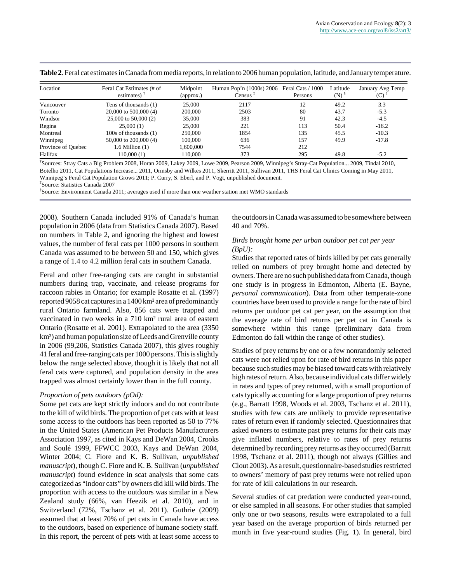| Location           | Feral Cat Estimates (# of<br>estimates) | Midpoint<br>(approx.) | Human Pop'n (1000s) 2006 Feral Cats / 1000<br>$Census$ <sup><math>\dagger</math></sup> | Persons | Latitude<br>(N) | January Avg Temp |
|--------------------|-----------------------------------------|-----------------------|----------------------------------------------------------------------------------------|---------|-----------------|------------------|
| Vancouver          | Tens of thousands (1)                   | 25,000                | 2117                                                                                   | 12      | 49.2            | 3.3              |
| Toronto            | $20,000$ to 500,000 (4)                 | 200,000               | 2503                                                                                   | 80      | 43.7            | $-5.3$           |
| Windsor            | 25,000 to 50,000 (2)                    | 35,000                | 383                                                                                    | 91      | 42.3            | $-4.5$           |
| Regina             | 25,000(1)                               | 25,000                | 221                                                                                    | 113     | 50.4            | $-16.2$          |
| Montreal           | 100s of thousands (1)                   | 250,000               | 1854                                                                                   | 135     | 45.5            | $-10.3$          |
| Winnipeg           | 50,000 to 200,000 (4)                   | 100,000               | 636                                                                                    | 157     | 49.9            | $-17.8$          |
| Province of Quebec | $1.6$ Million $(1)$                     | 1,600,000             | 7544                                                                                   | 212     |                 |                  |
| Halifax            | 110,000(1)                              | 110,000               | 373                                                                                    | 295     | 49.8            | $-5.2$           |

**Table 2**. Feral cat estimates in Canada from media reports, in relation to 2006 human population, latitude, and January temperature.

† Sources: Stray Cats a Big Problem 2008, Horan 2009, Lakey 2009, Lowe 2009, Pearson 2009, Winnipeg's Stray-Cat Population... 2009, Tindal 2010, Botelho 2011, Cat Populations Increase... 2011, Ormsby and Wilkes 2011, Skerritt 2011, Sullivan 2011, THS Feral Cat Clinics Coming in May 2011, Winnipeg's Feral Cat Population Grows 2011; P. Curry, S. Eberl, and P. Vogt, unpublished document.

‡ Source: Statistics Canada 2007

§ Source: Environment Canada 2011; averages used if more than one weather station met WMO standards

2008). Southern Canada included 91% of Canada's human population in 2006 (data from Statistics Canada 2007). Based on numbers in Table 2, and ignoring the highest and lowest values, the number of feral cats per 1000 persons in southern Canada was assumed to be between 50 and 150, which gives a range of 1.4 to 4.2 million feral cats in southern Canada.

Feral and other free-ranging cats are caught in substantial numbers during trap, vaccinate, and release programs for raccoon rabies in Ontario; for example Rosatte et al. (1997) reported 9058 cat captures in a 1400 km² area of predominantly rural Ontario farmland. Also, 856 cats were trapped and vaccinated in two weeks in a 710 km² rural area of eastern Ontario (Rosatte et al. 2001). Extrapolated to the area (3350 km²) and human population size of Leeds and Grenville county in 2006 (99,206, Statistics Canada 2007), this gives roughly 41 feral and free-ranging cats per 1000 persons. This is slightly below the range selected above, though it is likely that not all feral cats were captured, and population density in the area trapped was almost certainly lower than in the full county.

#### *Proportion of pets outdoors (pOd):*

Some pet cats are kept strictly indoors and do not contribute to the kill of wild birds. The proportion of pet cats with at least some access to the outdoors has been reported as 50 to 77% in the United States (American Pet Products Manufacturers Association 1997, as cited in Kays and DeWan 2004, Crooks and Soulé 1999, FFWCC 2003, Kays and DeWan 2004, Winter 2004; C. Fiore and K. B. Sullivan, *unpublished manuscript*), though C. Fiore and K. B. Sullivan (*unpublished manuscript*) found evidence in scat analysis that some cats categorized as "indoor cats" by owners did kill wild birds. The proportion with access to the outdoors was similar in a New Zealand study (66%, van Heezik et al. 2010), and in Switzerland (72%, Tschanz et al. 2011). Guthrie (2009) assumed that at least 70% of pet cats in Canada have access to the outdoors, based on experience of humane society staff. In this report, the percent of pets with at least some access to the outdoors in Canada was assumed to be somewhere between 40 and 70%.

#### *Birds brought home per urban outdoor pet cat per year (BpU):*

Studies that reported rates of birds killed by pet cats generally relied on numbers of prey brought home and detected by owners. There are no such published data from Canada, though one study is in progress in Edmonton, Alberta (E. Bayne, *personal communication*). Data from other temperate-zone countries have been used to provide a range for the rate of bird returns per outdoor pet cat per year, on the assumption that the average rate of bird returns per pet cat in Canada is somewhere within this range (preliminary data from Edmonton do fall within the range of other studies).

Studies of prey returns by one or a few nonrandomly selected cats were not relied upon for rate of bird returns in this paper because such studies may be biased toward cats with relatively high rates of return. Also, because individual cats differ widely in rates and types of prey returned, with a small proportion of cats typically accounting for a large proportion of prey returns (e.g., Barratt 1998, Woods et al. 2003, Tschanz et al. 2011), studies with few cats are unlikely to provide representative rates of return even if randomly selected. Questionnaires that asked owners to estimate past prey returns for their cats may give inflated numbers, relative to rates of prey returns determined by recording prey returns as they occurred (Barratt 1998, Tschanz et al. 2011), though not always (Gillies and Clout 2003). As a result, questionnaire-based studies restricted to owners' memory of past prey returns were not relied upon for rate of kill calculations in our research.

Several studies of cat predation were conducted year-round, or else sampled in all seasons. For other studies that sampled only one or two seasons, results were extrapolated to a full year based on the average proportion of birds returned per month in five year-round studies (Fig. 1). In general, bird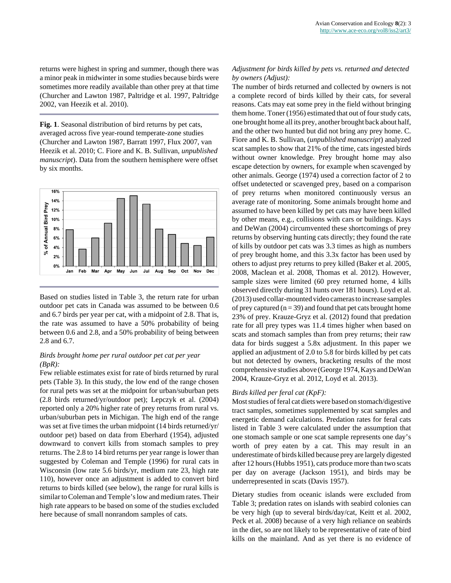returns were highest in spring and summer, though there was a minor peak in midwinter in some studies because birds were sometimes more readily available than other prey at that time (Churcher and Lawton 1987, Paltridge et al. 1997, Paltridge 2002, van Heezik et al. 2010).

**Fig. 1**. Seasonal distribution of bird returns by pet cats, averaged across five year-round temperate-zone studies (Churcher and Lawton 1987, Barratt 1997, Flux 2007, van Heezik et al. 2010; C. Fiore and K. B. Sullivan, *unpublished manuscript*). Data from the southern hemisphere were offset by six months.



Based on studies listed in Table 3, the return rate for urban outdoor pet cats in Canada was assumed to be between 0.6 and 6.7 birds per year per cat, with a midpoint of 2.8. That is, the rate was assumed to have a 50% probability of being between 0.6 and 2.8, and a 50% probability of being between 2.8 and 6.7.

# *Birds brought home per rural outdoor pet cat per year (BpR):*

Few reliable estimates exist for rate of birds returned by rural pets (Table 3). In this study, the low end of the range chosen for rural pets was set at the midpoint for urban/suburban pets (2.8 birds returned/yr/outdoor pet); Lepczyk et al. (2004) reported only a 20% higher rate of prey returns from rural vs. urban/suburban pets in Michigan. The high end of the range was set at five times the urban midpoint (14 birds returned/yr/ outdoor pet) based on data from Eberhard (1954), adjusted downward to convert kills from stomach samples to prey returns. The 2.8 to 14 bird returns per year range is lower than suggested by Coleman and Temple (1996) for rural cats in Wisconsin (low rate 5.6 birds/yr, medium rate 23, high rate 110), however once an adjustment is added to convert bird returns to birds killed (see below), the range for rural kills is similar to Coleman and Temple's low and medium rates. Their high rate appears to be based on some of the studies excluded here because of small nonrandom samples of cats.

# *Adjustment for birds killed by pets vs. returned and detected by owners (Adjust):*

The number of birds returned and collected by owners is not a complete record of birds killed by their cats, for several reasons. Cats may eat some prey in the field without bringing them home. Toner (1956) estimated that out of four study cats, one brought home all its prey, another brought back about half, and the other two hunted but did not bring any prey home. C. Fiore and K. B. Sullivan, (*unpublished manuscript*) analyzed scat samples to show that 21% of the time, cats ingested birds without owner knowledge. Prey brought home may also escape detection by owners, for example when scavenged by other animals. George (1974) used a correction factor of 2 to offset undetected or scavenged prey, based on a comparison of prey returns when monitored continuously versus an average rate of monitoring. Some animals brought home and assumed to have been killed by pet cats may have been killed by other means, e.g., collisions with cars or buildings. Kays and DeWan (2004) circumvented these shortcomings of prey returns by observing hunting cats directly; they found the rate of kills by outdoor pet cats was 3.3 times as high as numbers of prey brought home, and this 3.3x factor has been used by others to adjust prey returns to prey killed (Baker et al. 2005, 2008, Maclean et al. 2008, Thomas et al. 2012). However, sample sizes were limited (60 prey returned home, 4 kills observed directly during 31 hunts over 181 hours). Loyd et al. (2013) used collar-mounted video cameras to increase samples of prey captured ( $n = 39$ ) and found that pet cats brought home 23% of prey. Krauze-Gryz et al. (2012) found that predation rate for all prey types was 11.4 times higher when based on scats and stomach samples than from prey returns; their raw data for birds suggest a 5.8x adjustment. In this paper we applied an adjustment of 2.0 to 5.8 for birds killed by pet cats but not detected by owners, bracketing results of the most comprehensive studies above (George 1974, Kays and DeWan 2004, Krauze-Gryz et al. 2012, Loyd et al. 2013).

# *Birds killed per feral cat (KpF):*

Most studies of feral cat diets were based on stomach/digestive tract samples, sometimes supplemented by scat samples and energetic demand calculations. Predation rates for feral cats listed in Table 3 were calculated under the assumption that one stomach sample or one scat sample represents one day's worth of prey eaten by a cat. This may result in an underestimate of birds killed because prey are largely digested after 12 hours (Hubbs 1951), cats produce more than two scats per day on average (Jackson 1951), and birds may be underrepresented in scats (Davis 1957).

Dietary studies from oceanic islands were excluded from Table 3; predation rates on islands with seabird colonies can be very high (up to several birds/day/cat, Keitt et al. 2002, Peck et al. 2008) because of a very high reliance on seabirds in the diet, so are not likely to be representative of rate of bird kills on the mainland. And as yet there is no evidence of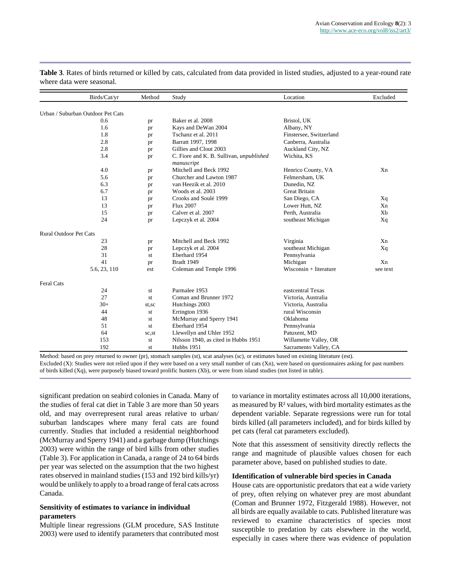|                               | Birds/Cat/yr                      | Method | Study                                                  | Location                | Excluded |
|-------------------------------|-----------------------------------|--------|--------------------------------------------------------|-------------------------|----------|
|                               |                                   |        |                                                        |                         |          |
|                               | Urban / Suburban Outdoor Pet Cats |        |                                                        |                         |          |
|                               | 0.6                               | pr     | Baker et al. 2008                                      | Bristol, UK             |          |
|                               | 1.6                               | pr     | Kays and DeWan 2004                                    | Albany, NY              |          |
|                               | 1.8                               | pr     | Tschanz et al. 2011                                    | Finstersee, Switzerland |          |
|                               | 2.8                               | pr     | Barratt 1997, 1998                                     | Canberra, Australia     |          |
|                               | 2.8                               | pr     | Gillies and Clout 2003                                 | Auckland City, NZ       |          |
|                               | 3.4                               | pr     | C. Fiore and K. B. Sullivan, unpublished<br>manuscript | Wichita, KS             |          |
|                               | 4.0                               | pr     | Mitchell and Beck 1992                                 | Henrico County, VA      | Xn       |
|                               | 5.6                               | pr     | Churcher and Lawton 1987                               | Felmersham, UK          |          |
|                               | 6.3                               | pr     | van Heezik et al. 2010                                 | Dunedin, NZ             |          |
|                               | 6.7                               | pr     | Woods et al. 2003                                      | <b>Great Britain</b>    |          |
|                               | 13                                | pr     | Crooks and Soulé 1999                                  | San Diego, CA           | Xq       |
|                               | 13                                | pr     | <b>Flux 2007</b>                                       | Lower Hutt, NZ          | Xn       |
|                               | 15                                | pr     | Calver et al. 2007                                     | Perth, Australia        | Xb       |
|                               | 24                                | pr     | Lepczyk et al. 2004                                    | southeast Michigan      | Xq       |
| <b>Rural Outdoor Pet Cats</b> |                                   |        |                                                        |                         |          |
|                               | 23                                | pr     | Mitchell and Beck 1992                                 | Virginia                | Xn       |
|                               | 28                                | pr     | Lepczyk et al. 2004                                    | southeast Michigan      | Xq       |
|                               | 31                                | st     | Eberhard 1954                                          | Pennsylvania            |          |
|                               | 41                                | pr     | Bradt 1949                                             | Michigan                | Xn       |
|                               | 5.6, 23, 110                      | est    | Coleman and Temple 1996                                | Wisconsin + literature  | see text |
| <b>Feral Cats</b>             |                                   |        |                                                        |                         |          |
|                               | 24                                | st     | Parmalee 1953                                          | eastcentral Texas       |          |
|                               | 27                                | st     | Coman and Brunner 1972                                 | Victoria, Australia     |          |
|                               | $30+$                             | st,sc  | Hutchings 2003                                         | Victoria, Australia     |          |
|                               | 44                                | st     | Errington 1936                                         | rural Wisconsin         |          |
|                               | 48                                | st     | McMurray and Sperry 1941                               | Oklahoma                |          |
|                               | 51                                | st     | Eberhard 1954                                          | Pennsylvania            |          |
|                               | 64                                | sc,st  | Llewellyn and Uhler 1952                               | Patuxent, MD            |          |
|                               | 153                               | st     | Nilsson 1940, as cited in Hubbs 1951                   | Willamette Valley, OR   |          |
|                               | 192                               | st     | Hubbs 1951                                             | Sacramento Valley, CA   |          |

**Table 3**. Rates of birds returned or killed by cats, calculated from data provided in listed studies, adjusted to a year-round rate where data were seasonal.

Method: based on prey returned to owner (pr), stomach samples (st), scat analyses (sc), or estimates based on existing literature (est). Excluded (X): Studies were not relied upon if they were based on a very small number of cats (Xn), were based on questionnaires asking for past numbers of birds killed (Xq), were purposely biased toward prolific hunters (Xb), or were from island studies (not listed in table).

significant predation on seabird colonies in Canada. Many of the studies of feral cat diet in Table 3 are more than 50 years old, and may overrepresent rural areas relative to urban/ suburban landscapes where many feral cats are found currently. Studies that included a residential neighborhood (McMurray and Sperry 1941) and a garbage dump (Hutchings 2003) were within the range of bird kills from other studies (Table 3). For application in Canada, a range of 24 to 64 birds per year was selected on the assumption that the two highest rates observed in mainland studies (153 and 192 bird kills/yr) would be unlikely to apply to a broad range of feral cats across Canada.

# **Sensitivity of estimates to variance in individual parameters**

Multiple linear regressions (GLM procedure, SAS Institute 2003) were used to identify parameters that contributed most to variance in mortality estimates across all 10,000 iterations, as measured by R² values, with bird mortality estimates as the dependent variable. Separate regressions were run for total birds killed (all parameters included), and for birds killed by pet cats (feral cat parameters excluded).

Note that this assessment of sensitivity directly reflects the range and magnitude of plausible values chosen for each parameter above, based on published studies to date.

#### **Identification of vulnerable bird species in Canada**

House cats are opportunistic predators that eat a wide variety of prey, often relying on whatever prey are most abundant (Coman and Brunner 1972, Fitzgerald 1988). However, not all birds are equally available to cats. Published literature was reviewed to examine characteristics of species most susceptible to predation by cats elsewhere in the world, especially in cases where there was evidence of population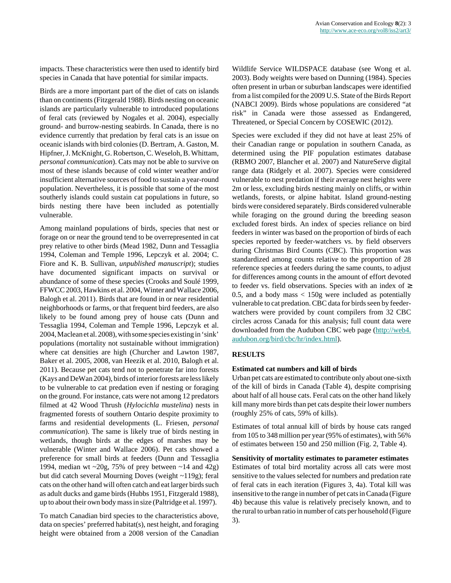impacts. These characteristics were then used to identify bird species in Canada that have potential for similar impacts.

Birds are a more important part of the diet of cats on islands than on continents (Fitzgerald 1988). Birds nesting on oceanic islands are particularly vulnerable to introduced populations of feral cats (reviewed by Nogales et al. 2004), especially ground- and burrow-nesting seabirds. In Canada, there is no evidence currently that predation by feral cats is an issue on oceanic islands with bird colonies (D. Bertram, A. Gaston, M. Hipfner, J. McKnight, G. Robertson, C. Weseloh, B. Whittam, *personal communication*). Cats may not be able to survive on most of these islands because of cold winter weather and/or insufficient alternative sources of food to sustain a year-round population. Nevertheless, it is possible that some of the most southerly islands could sustain cat populations in future, so birds nesting there have been included as potentially vulnerable.

Among mainland populations of birds, species that nest or forage on or near the ground tend to be overrepresented in cat prey relative to other birds (Mead 1982, Dunn and Tessaglia 1994, Coleman and Temple 1996, Lepczyk et al. 2004; C. Fiore and K. B. Sullivan, *unpublished manuscript*); studies have documented significant impacts on survival or abundance of some of these species (Crooks and Soulé 1999, FFWCC 2003, Hawkins et al. 2004, Winter and Wallace 2006, Balogh et al. 2011). Birds that are found in or near residential neighborhoods or farms, or that frequent bird feeders, are also likely to be found among prey of house cats (Dunn and Tessaglia 1994, Coleman and Temple 1996, Lepczyk et al. 2004, Maclean et al. 2008), with some species existing in 'sink' populations (mortality not sustainable without immigration) where cat densities are high (Churcher and Lawton 1987, Baker et al. 2005, 2008, van Heezik et al. 2010, Balogh et al. 2011). Because pet cats tend not to penetrate far into forests (Kays and DeWan 2004), birds of interior forests are less likely to be vulnerable to cat predation even if nesting or foraging on the ground. For instance, cats were not among 12 predators filmed at 42 Wood Thrush (*Hylocichla mustelina*) nests in fragmented forests of southern Ontario despite proximity to farms and residential developments (L. Friesen, *personal communication*). The same is likely true of birds nesting in wetlands, though birds at the edges of marshes may be vulnerable (Winter and Wallace 2006). Pet cats showed a preference for small birds at feeders (Dunn and Tessaglia 1994, median wt  $\sim$ 20g, 75% of prey between  $\sim$ 14 and 42g) but did catch several Mourning Doves (weight ~119g); feral cats on the other hand will often catch and eat larger birds such as adult ducks and game birds (Hubbs 1951, Fitzgerald 1988), up to about their own body mass in size (Paltridge et al. 1997).

To match Canadian bird species to the characteristics above, data on species' preferred habitat(s), nest height, and foraging height were obtained from a 2008 version of the Canadian Wildlife Service WILDSPACE database (see Wong et al. 2003). Body weights were based on Dunning (1984). Species often present in urban or suburban landscapes were identified from a list compiled for the 2009 U.S. State of the Birds Report (NABCI 2009). Birds whose populations are considered "at risk" in Canada were those assessed as Endangered, Threatened, or Special Concern by COSEWIC (2012).

Species were excluded if they did not have at least 25% of their Canadian range or population in southern Canada, as determined using the PIF population estimates database (RBMO 2007, Blancher et al. 2007) and NatureServe digital range data (Ridgely et al. 2007). Species were considered vulnerable to nest predation if their average nest heights were 2m or less, excluding birds nesting mainly on cliffs, or within wetlands, forests, or alpine habitat. Island ground-nesting birds were considered separately. Birds considered vulnerable while foraging on the ground during the breeding season excluded forest birds. An index of species reliance on bird feeders in winter was based on the proportion of birds of each species reported by feeder-watchers vs. by field observers during Christmas Bird Counts (CBC). This proportion was standardized among counts relative to the proportion of 28 reference species at feeders during the same counts, to adjust for differences among counts in the amount of effort devoted to feeder vs. field observations. Species with an index of  $\geq$ 0.5, and a body mass  $\langle$  150g were included as potentially vulnerable to cat predation. CBC data for birds seen by feederwatchers were provided by count compilers from 32 CBC circles across Canada for this analysis; full count data were downloaded from the Audubon CBC web page ([http://web4.](http://web4.audubon.org/bird/cbc/hr/index.html) [audubon.org/bird/cbc/hr/index.html\)](http://web4.audubon.org/bird/cbc/hr/index.html).

# **RESULTS**

#### **Estimated cat numbers and kill of birds**

Urban pet cats are estimated to contribute only about one-sixth of the kill of birds in Canada (Table 4), despite comprising about half of all house cats. Feral cats on the other hand likely kill many more birds than pet cats despite their lower numbers (roughly 25% of cats, 59% of kills).

Estimates of total annual kill of birds by house cats ranged from 105 to 348 million per year (95% of estimates), with 56% of estimates between 150 and 250 million (Fig. 2, Table 4).

**Sensitivity of mortality estimates to parameter estimates** Estimates of total bird mortality across all cats were most sensitive to the values selected for numbers and predation rate

of feral cats in each iteration (Figures 3, 4a). Total kill was insensitive to the range in number of pet cats in Canada (Figure 4b) because this value is relatively precisely known, and to the rural to urban ratio in number of cats per household (Figure 3).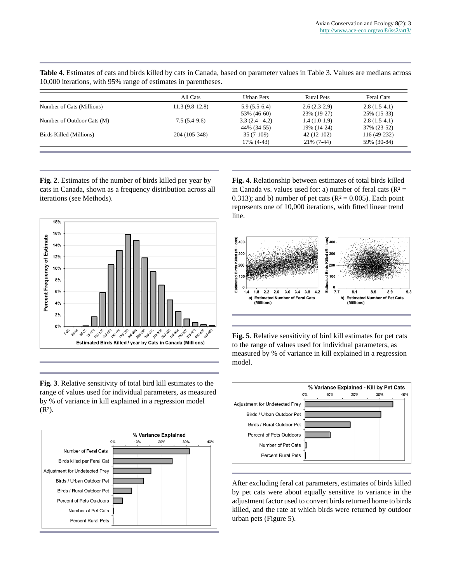|                            | All Cats         | Urban Pets       | <b>Rural Pets</b> | <b>Feral Cats</b> |
|----------------------------|------------------|------------------|-------------------|-------------------|
| Number of Cats (Millions)  | $11.3(9.8-12.8)$ | $5.9(5.5-6.4)$   | $2.6(2.3-2.9)$    | $2.8(1.5-4.1)$    |
|                            |                  | 53% (46-60)      | 23\% (19-27)      | 25% (15-33)       |
| Number of Outdoor Cats (M) | $7.5(5.4-9.6)$   | $3.3(2.4 - 4.2)$ | $1.4(1.0-1.9)$    | $2.8(1.5-4.1)$    |
|                            |                  | 44% (34-55)      | 19% (14-24)       | 37% (23-52)       |
| Birds Killed (Millions)    | 204 (105-348)    | $35(7-109)$      | $42(12-102)$      | 116 (49-232)      |
|                            |                  | 17% (4-43)       | 21\% (7-44)       | 59% (30-84)       |

**Table 4**. Estimates of cats and birds killed by cats in Canada, based on parameter values in Table 3. Values are medians across 10,000 iterations, with 95% range of estimates in parentheses.

**Fig. 2**. Estimates of the number of birds killed per year by cats in Canada, shown as a frequency distribution across all iterations (see Methods).



**Fig. 3**. Relative sensitivity of total bird kill estimates to the range of values used for individual parameters, as measured by % of variance in kill explained in a regression model  $(R<sup>2</sup>)$ .



**Fig. 4**. Relationship between estimates of total birds killed in Canada vs. values used for: a) number of feral cats ( $R^2$  = 0.313); and b) number of pet cats  $(R^2 = 0.005)$ . Each point represents one of 10,000 iterations, with fitted linear trend line.



**Fig. 5**. Relative sensitivity of bird kill estimates for pet cats to the range of values used for individual parameters, as measured by % of variance in kill explained in a regression model.



After excluding feral cat parameters, estimates of birds killed by pet cats were about equally sensitive to variance in the adjustment factor used to convert birds returned home to birds killed, and the rate at which birds were returned by outdoor urban pets (Figure 5).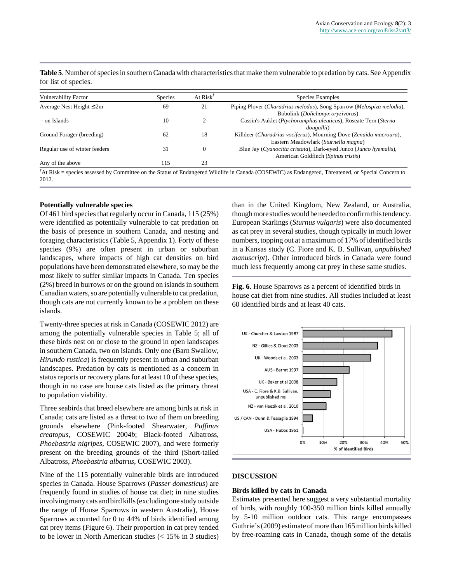**Table 5**. Number of species in southern Canada with characteristics that make them vulnerable to predation by cats. See Appendix for list of species.

| <b>Vulnerability Factor</b>   | <b>Species</b> | At Risk <sup>1</sup> | Species Examples                                                                                           |
|-------------------------------|----------------|----------------------|------------------------------------------------------------------------------------------------------------|
| Average Nest Height $\leq 2m$ | 69             | 21                   | Piping Plover (Charadrius melodus), Song Sparrow (Melospiza melodia),<br>Bobolink (Dolichonyx oryzivorus)  |
| - on Islands                  | 10             |                      | Cassin's Auklet (Ptychoramphus aleuticus), Roseate Tern (Sterna<br><i>dougallii</i> )                      |
| Ground Forager (breeding)     | 62             | 18                   | Killdeer (Charadrius vociferus), Mourning Dove (Zenaida macroura),<br>Eastern Meadowlark (Sturnella magna) |
| Regular use of winter feeders | 31             | $\Omega$             | Blue Jay (Cyanocitta cristata), Dark-eyed Junco (Junco hyemalis),<br>American Goldfinch (Spinus tristis)   |
| Any of the above              | 115            | 23                   |                                                                                                            |

†At Risk = species assessed by Committee on the Status of Endangered Wildlife in Canada (COSEWIC) as Endangered, Threatened, or Special Concern to 2012.

# **Potentially vulnerable species**

Of 461 bird species that regularly occur in Canada, 115 (25%) were identified as potentially vulnerable to cat predation on the basis of presence in southern Canada, and nesting and foraging characteristics (Table 5, Appendix 1). Forty of these species (9%) are often present in urban or suburban landscapes, where impacts of high cat densities on bird populations have been demonstrated elsewhere, so may be the most likely to suffer similar impacts in Canada. Ten species (2%) breed in burrows or on the ground on islands in southern Canadian waters, so are potentially vulnerable to cat predation, though cats are not currently known to be a problem on these islands.

Twenty-three species at risk in Canada (COSEWIC 2012) are among the potentially vulnerable species in Table 5; all of these birds nest on or close to the ground in open landscapes in southern Canada, two on islands. Only one (Barn Swallow, *Hirundo rustica*) is frequently present in urban and suburban landscapes. Predation by cats is mentioned as a concern in status reports or recovery plans for at least 10 of these species, though in no case are house cats listed as the primary threat to population viability.

Three seabirds that breed elsewhere are among birds at risk in Canada; cats are listed as a threat to two of them on breeding grounds elsewhere (Pink-footed Shearwater, *Puffinus creatopus*, COSEWIC 2004*b*; Black-footed Albatross, *Phoebastria nigripes*, COSEWIC 2007), and were formerly present on the breeding grounds of the third (Short-tailed Albatross, *Phoebastria albatrus*, COSEWIC 2003).

Nine of the 115 potentially vulnerable birds are introduced species in Canada. House Sparrows (*Passer domesticus*) are frequently found in studies of house cat diet; in nine studies involving many cats and bird kills (excluding one study outside the range of House Sparrows in western Australia), House Sparrows accounted for 0 to 44% of birds identified among cat prey items (Figure 6). Their proportion in cat prey tended to be lower in North American studies (< 15% in 3 studies)

than in the United Kingdom, New Zealand, or Australia, though more studies would be needed to confirm this tendency. European Starlings (*Sturnus vulgaris*) were also documented as cat prey in several studies, though typically in much lower numbers, topping out at a maximum of 17% of identified birds in a Kansas study (C. Fiore and K. B. Sullivan, *unpublished manuscript*). Other introduced birds in Canada were found much less frequently among cat prey in these same studies.

**Fig. 6**. House Sparrows as a percent of identified birds in house cat diet from nine studies. All studies included at least 60 identified birds and at least 40 cats.



#### **DISCUSSION**

#### **Birds killed by cats in Canada**

Estimates presented here suggest a very substantial mortality of birds, with roughly 100-350 million birds killed annually by 5-10 million outdoor cats. This range encompasses Guthrie's (2009) estimate of more than 165 million birds killed by free-roaming cats in Canada, though some of the details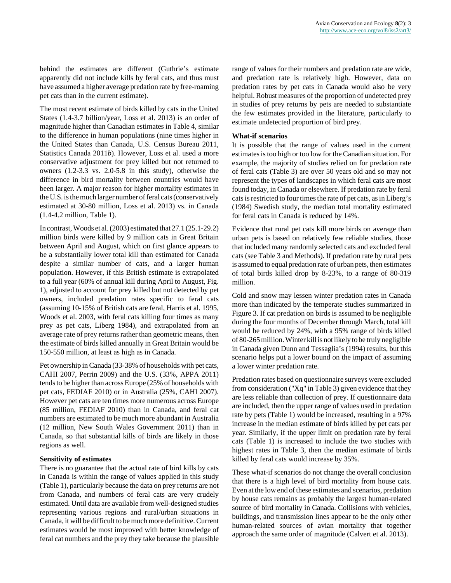behind the estimates are different (Guthrie's estimate apparently did not include kills by feral cats, and thus must have assumed a higher average predation rate by free-roaming pet cats than in the current estimate).

The most recent estimate of birds killed by cats in the United States (1.4-3.7 billion/year, Loss et al. 2013) is an order of magnitude higher than Canadian estimates in Table 4, similar to the difference in human populations (nine times higher in the United States than Canada, U.S. Census Bureau 2011, Statistics Canada 2011*b*). However, Loss et al. used a more conservative adjustment for prey killed but not returned to owners (1.2-3.3 vs. 2.0-5.8 in this study), otherwise the difference in bird mortality between countries would have been larger. A major reason for higher mortality estimates in the U.S. is the much larger number of feral cats (conservatively estimated at 30-80 million, Loss et al. 2013) vs. in Canada (1.4-4.2 million, Table 1).

In contrast, Woods et al. (2003) estimated that 27.1 (25.1-29.2) million birds were killed by 9 million cats in Great Britain between April and August, which on first glance appears to be a substantially lower total kill than estimated for Canada despite a similar number of cats, and a larger human population. However, if this British estimate is extrapolated to a full year (60% of annual kill during April to August, Fig. 1), adjusted to account for prey killed but not detected by pet owners, included predation rates specific to feral cats (assuming 10-15% of British cats are feral, Harris et al. 1995, Woods et al. 2003, with feral cats killing four times as many prey as pet cats, Liberg 1984), and extrapolated from an average rate of prey returns rather than geometric means, then the estimate of birds killed annually in Great Britain would be 150-550 million, at least as high as in Canada.

Pet ownership in Canada (33-38% of households with pet cats, CAHI 2007, Perrin 2009) and the U.S. (33%, APPA 2011) tends to be higher than across Europe (25% of households with pet cats, FEDIAF 2010) or in Australia (25%, CAHI 2007). However pet cats are ten times more numerous across Europe (85 million, FEDIAF 2010) than in Canada, and feral cat numbers are estimated to be much more abundant in Australia (12 million, New South Wales Government 2011) than in Canada, so that substantial kills of birds are likely in those regions as well.

#### **Sensitivity of estimates**

There is no guarantee that the actual rate of bird kills by cats in Canada is within the range of values applied in this study (Table 1), particularly because the data on prey returns are not from Canada, and numbers of feral cats are very crudely estimated. Until data are available from well-designed studies representing various regions and rural/urban situations in Canada, it will be difficult to be much more definitive. Current estimates would be most improved with better knowledge of feral cat numbers and the prey they take because the plausible range of values for their numbers and predation rate are wide, and predation rate is relatively high. However, data on predation rates by pet cats in Canada would also be very helpful. Robust measures of the proportion of undetected prey in studies of prey returns by pets are needed to substantiate the few estimates provided in the literature, particularly to estimate undetected proportion of bird prey.

#### **What-if scenarios**

It is possible that the range of values used in the current estimates is too high or too low for the Canadian situation. For example, the majority of studies relied on for predation rate of feral cats (Table 3) are over 50 years old and so may not represent the types of landscapes in which feral cats are most found today, in Canada or elsewhere. If predation rate by feral cats is restricted to four times the rate of pet cats, as in Liberg's (1984) Swedish study, the median total mortality estimated for feral cats in Canada is reduced by 14%.

Evidence that rural pet cats kill more birds on average than urban pets is based on relatively few reliable studies, those that included many randomly selected cats and excluded feral cats (see Table 3 and Methods). If predation rate by rural pets is assumed to equal predation rate of urban pets, then estimates of total birds killed drop by 8-23%, to a range of 80-319 million.

Cold and snow may lessen winter predation rates in Canada more than indicated by the temperate studies summarized in Figure 3. If cat predation on birds is assumed to be negligible during the four months of December through March, total kill would be reduced by 24%, with a 95% range of birds killed of 80-265 million. Winter kill is not likely to be truly negligible in Canada given Dunn and Tessaglia's (1994) results, but this scenario helps put a lower bound on the impact of assuming a lower winter predation rate.

Predation rates based on questionnaire surveys were excluded from consideration ("Xq" in Table 3) given evidence that they are less reliable than collection of prey. If questionnaire data are included, then the upper range of values used in predation rate by pets (Table 1) would be increased, resulting in a 97% increase in the median estimate of birds killed by pet cats per year. Similarly, if the upper limit on predation rate by feral cats (Table 1) is increased to include the two studies with highest rates in Table 3, then the median estimate of birds killed by feral cats would increase by 35%.

These what-if scenarios do not change the overall conclusion that there is a high level of bird mortality from house cats. Even at the low end of these estimates and scenarios, predation by house cats remains as probably the largest human-related source of bird mortality in Canada. Collisions with vehicles, buildings, and transmission lines appear to be the only other human-related sources of avian mortality that together approach the same order of magnitude (Calvert et al. 2013).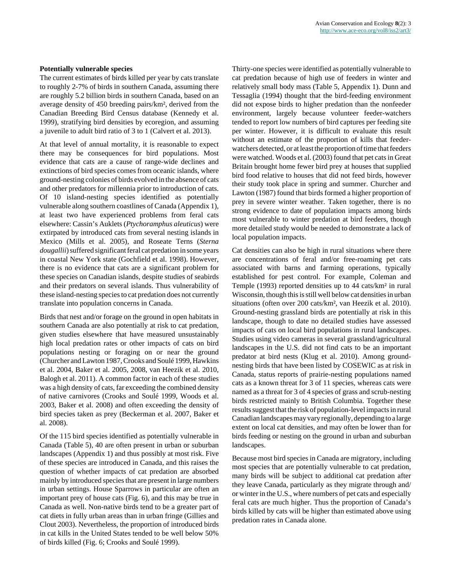#### **Potentially vulnerable species**

The current estimates of birds killed per year by cats translate to roughly 2-7% of birds in southern Canada, assuming there are roughly 5.2 billion birds in southern Canada, based on an average density of 450 breeding pairs/km², derived from the Canadian Breeding Bird Census database (Kennedy et al. 1999), stratifying bird densities by ecoregion, and assuming a juvenile to adult bird ratio of 3 to 1 (Calvert et al. 2013).

At that level of annual mortality, it is reasonable to expect there may be consequences for bird populations. Most evidence that cats are a cause of range-wide declines and extinctions of bird species comes from oceanic islands, where ground-nesting colonies of birds evolved in the absence of cats and other predators for millennia prior to introduction of cats. Of 10 island-nesting species identified as potentially vulnerable along southern coastlines of Canada (Appendix 1), at least two have experienced problems from feral cats elsewhere: Cassin's Auklets (*Ptychoramphus aleuticus*) were extirpated by introduced cats from several nesting islands in Mexico (Mills et al. 2005), and Roseate Terns (*Sterna dougallii*) suffered significant feral cat predation in some years in coastal New York state (Gochfield et al. 1998). However, there is no evidence that cats are a significant problem for these species on Canadian islands, despite studies of seabirds and their predators on several islands. Thus vulnerability of these island-nesting species to cat predation does not currently translate into population concerns in Canada.

Birds that nest and/or forage on the ground in open habitats in southern Canada are also potentially at risk to cat predation, given studies elsewhere that have measured unsustainably high local predation rates or other impacts of cats on bird populations nesting or foraging on or near the ground (Churcher and Lawton 1987, Crooks and Soulé 1999, Hawkins et al. 2004, Baker et al. 2005, 2008, van Heezik et al. 2010, Balogh et al. 2011). A common factor in each of these studies was a high density of cats, far exceeding the combined density of native carnivores (Crooks and Soulé 1999, Woods et al. 2003, Baker et al. 2008) and often exceeding the density of bird species taken as prey (Beckerman et al. 2007, Baker et al. 2008).

Of the 115 bird species identified as potentially vulnerable in Canada (Table 5), 40 are often present in urban or suburban landscapes (Appendix 1) and thus possibly at most risk. Five of these species are introduced in Canada, and this raises the question of whether impacts of cat predation are absorbed mainly by introduced species that are present in large numbers in urban settings. House Sparrows in particular are often an important prey of house cats (Fig. 6), and this may be true in Canada as well. Non-native birds tend to be a greater part of cat diets in fully urban areas than in urban fringe (Gillies and Clout 2003). Nevertheless, the proportion of introduced birds in cat kills in the United States tended to be well below 50% of birds killed (Fig. 6; Crooks and Soulé 1999).

Thirty-one species were identified as potentially vulnerable to cat predation because of high use of feeders in winter and relatively small body mass (Table 5, Appendix 1). Dunn and Tessaglia (1994) thought that the bird-feeding environment did not expose birds to higher predation than the nonfeeder environment, largely because volunteer feeder-watchers tended to report low numbers of bird captures per feeding site per winter. However, it is difficult to evaluate this result without an estimate of the proportion of kills that feederwatchers detected, or at least the proportion of time that feeders were watched. Woods et al. (2003) found that pet cats in Great Britain brought home fewer bird prey at houses that supplied bird food relative to houses that did not feed birds, however their study took place in spring and summer. Churcher and Lawton (1987) found that birds formed a higher proportion of prey in severe winter weather. Taken together, there is no strong evidence to date of population impacts among birds most vulnerable to winter predation at bird feeders, though more detailed study would be needed to demonstrate a lack of local population impacts.

Cat densities can also be high in rural situations where there are concentrations of feral and/or free-roaming pet cats associated with barns and farming operations, typically established for pest control. For example, Coleman and Temple (1993) reported densities up to 44 cats/km² in rural Wisconsin, though this is still well below cat densities in urban situations (often over 200 cats/km², van Heezik et al. 2010). Ground-nesting grassland birds are potentially at risk in this landscape, though to date no detailed studies have assessed impacts of cats on local bird populations in rural landscapes. Studies using video cameras in several grassland/agricultural landscapes in the U.S. did not find cats to be an important predator at bird nests (Klug et al. 2010). Among groundnesting birds that have been listed by COSEWIC as at risk in Canada, status reports of prairie-nesting populations named cats as a known threat for 3 of 11 species, whereas cats were named as a threat for 3 of 4 species of grass and scrub-nesting birds restricted mainly to British Columbia. Together these results suggest that the risk of population-level impacts in rural Canadian landscapes may vary regionally, depending to a large extent on local cat densities, and may often be lower than for birds feeding or nesting on the ground in urban and suburban landscapes.

Because most bird species in Canada are migratory, including most species that are potentially vulnerable to cat predation, many birds will be subject to additional cat predation after they leave Canada, particularly as they migrate through and/ or winter in the U.S., where numbers of pet cats and especially feral cats are much higher. Thus the proportion of Canada's birds killed by cats will be higher than estimated above using predation rates in Canada alone.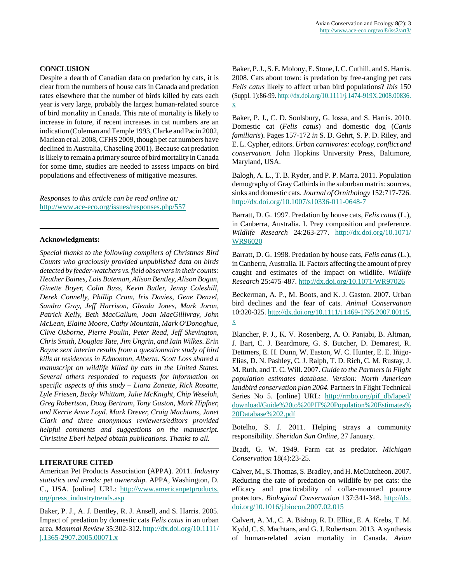# **CONCLUSION**

Despite a dearth of Canadian data on predation by cats, it is clear from the numbers of house cats in Canada and predation rates elsewhere that the number of birds killed by cats each year is very large, probably the largest human-related source of bird mortality in Canada. This rate of mortality is likely to increase in future, if recent increases in cat numbers are an indication (Coleman and Temple 1993, Clarke and Pacin 2002, Maclean et al. 2008, CFHS 2009, though pet cat numbers have declined in Australia, Chaseling 2001). Because cat predation is likely to remain a primary source of bird mortality in Canada for some time, studies are needed to assess impacts on bird populations and effectiveness of mitigative measures.

*Responses to this article can be read online at:* <http://www.ace-eco.org/issues/responses.php/557>

#### **Acknowledgments:**

*Special thanks to the following compilers of Christmas Bird Counts who graciously provided unpublished data on birds detected by feeder-watchers vs. field observers in their counts: Heather Baines, Lois Bateman, Alison Bentley, Alison Bogan, Ginette Boyer, Colin Buss, Kevin Butler, Jenny Coleshill, Derek Connelly, Phillip Cram, Iris Davies, Gene Denzel, Sandra Gray, Jeff Harrison, Glenda Jones, Mark Joron, Patrick Kelly, Beth MacCallum, Joan MacGillivray, John McLean, Elaine Moore, Cathy Mountain, Mark O'Donoghue, Clive Osborne, Pierre Poulin, Peter Read, Jeff Skevington, Chris Smith, Douglas Tate, Jim Ungrin, and Iain Wilkes. Erin Bayne sent interim results from a questionnaire study of bird kills at residences in Edmonton, Alberta. Scott Loss shared a manuscript on wildlife killed by cats in the United States. Several others responded to requests for information on specific aspects of this study – Liana Zanette, Rick Rosatte, Lyle Friesen, Becky Whittam, Julie McKnight, Chip Weseloh, Greg Robertson, Doug Bertram, Tony Gaston, Mark Hipfner, and Kerrie Anne Loyd. Mark Drever, Craig Machtans, Janet Clark and three anonymous reviewers/editors provided helpful comments and suggestions on the manuscript. Christine Eberl helped obtain publications. Thanks to all.*

#### **LITERATURE CITED**

American Pet Products Association (APPA). 2011. *Industry statistics and trends: pet ownership.* APPA, Washington, D. C., USA. [online] URL: [http://www.americanpetproducts.](http://www.americanpetproducts.org/press_industrytrends.asp) [org/press\\_industrytrends.asp](http://www.americanpetproducts.org/press_industrytrends.asp)

Baker, P. J., A. J. Bentley, R. J. Ansell, and S. Harris. 2005. Impact of predation by domestic cats *Felis catus* in an urban area. *Mammal Review* 35:302-312. [http://dx.doi.org/10.1111/](http://dx.doi.org/10.1111/j.1365-2907.2005.00071.x) [j.1365-2907.2005.00071.x](http://dx.doi.org/10.1111/j.1365-2907.2005.00071.x)

Baker, P. J., S. E. Molony, E. Stone, I. C. Cuthill, and S. Harris. 2008. Cats about town: is predation by free-ranging pet cats *Felis catus* likely to affect urban bird populations? *Ibis* 150 (Suppl. 1):86-99. [http://dx.doi.org/10.1111/j.1474-919X.2008.00836.](http://dx.doi.org/10.1111/j.1474-919X.2008.00836.x) [x](http://dx.doi.org/10.1111/j.1474-919X.2008.00836.x)

Baker, P. J., C. D. Soulsbury, G. Iossa, and S. Harris. 2010. Domestic cat (*Felis catus*) and domestic dog (*Canis familiaris*). Pages 157-172 *in* S. D. Gehrt, S. P. D. Riley, and E. L. Cypher, editors. *Urban carnivores: ecology, conflict and conservation.* John Hopkins University Press, Baltimore, Maryland, USA.

Balogh, A. L., T. B. Ryder, and P. P. Marra. 2011. Population demography of Gray Catbirds in the suburban matrix: sources, sinks and domestic cats. *Journal of Ornithology* 152:717-726. <http://dx.doi.org/10.1007/s10336-011-0648-7>

Barratt, D. G. 1997. Predation by house cats, *Felis catus* (L.), in Canberra, Australia. I. Prey composition and preference. *Wildlife Research* 24:263-277. [http://dx.doi.org/10.1071/](http://dx.doi.org/10.1071/WR96020) [WR96020](http://dx.doi.org/10.1071/WR96020)

Barratt, D. G. 1998. Predation by house cats, *Felis catus* (L.), in Canberra, Australia. II. Factors affecting the amount of prey caught and estimates of the impact on wildlife. *Wildlife Research* 25:475-487.<http://dx.doi.org/10.1071/WR97026>

Beckerman, A. P., M. Boots, and K. J. Gaston. 2007. Urban bird declines and the fear of cats. *Animal Conservation* 10:320-325. [http://dx.doi.org/10.1111/j.1469-1795.2007.00115.](http://dx.doi.org/10.1111/j.1469-1795.2007.00115.x) [x](http://dx.doi.org/10.1111/j.1469-1795.2007.00115.x)

Blancher, P. J., K. V. Rosenberg, A. O. Panjabi, B. Altman, J. Bart, C. J. Beardmore, G. S. Butcher, D. Demarest, R. Dettmers, E. H. Dunn, W. Easton, W. C. Hunter, E. E. Iñigo-Elias, D. N. Pashley, C. J. Ralph, T. D. Rich, C. M. Rustay, J. M. Ruth, and T. C. Will. 2007. *Guide to the Partners in Flight population estimates database. Version: North American landbird conservation plan 2004.* Partners in Flight Technical Series No 5. [online] URL: [http://rmbo.org/pif\\_db/laped/](http://rmbo.org/pif_db/laped/download/Guide%20to%20PIF%20Population%20Estimates%20Database%202.pdf) [download/Guide%20to%20PIF%20Population%20Estimates%](http://rmbo.org/pif_db/laped/download/Guide%20to%20PIF%20Population%20Estimates%20Database%202.pdf) [20Database%202.pdf](http://rmbo.org/pif_db/laped/download/Guide%20to%20PIF%20Population%20Estimates%20Database%202.pdf)

Botelho, S. J. 2011. Helping strays a community responsibility. *Sheridan Sun Online*, 27 January.

Bradt, G. W. 1949. Farm cat as predator. *Michigan Conservation* 18(4):23-25.

Calver, M., S. Thomas, S. Bradley, and H. McCutcheon. 2007. Reducing the rate of predation on wildlife by pet cats: the efficacy and practicability of collar-mounted pounce protectors. *Biological Conservation* 137:341-348. [http://dx.](http://dx.doi.org/10.1016/j.biocon.2007.02.015) [doi.org/10.1016/j.biocon.2007.02.015](http://dx.doi.org/10.1016/j.biocon.2007.02.015)

Calvert, A. M., C. A. Bishop, R. D. Elliot, E. A. Krebs, T. M. Kydd, C. S. Machtans, and G. J. Robertson. 2013. A synthesis of human-related avian mortality in Canada. *Avian*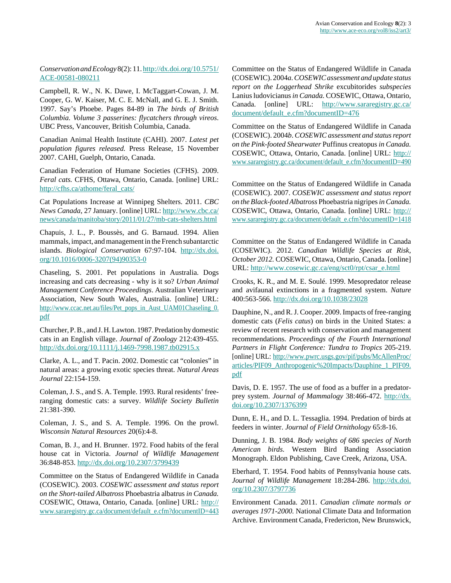*Conservation and Ecology* 8(2): 11. [http://dx.doi.org/10.5751/](http://dx.doi.org/10.5751/ACE-00581-080211) [ACE-00581-080211](http://dx.doi.org/10.5751/ACE-00581-080211) 

Campbell, R. W., N. K. Dawe, I. McTaggart-Cowan, J. M. Cooper, G. W. Kaiser, M. C. E. McNall, and G. E. J. Smith. 1997. Say's Phoebe. Pages 84-89 in *The birds of British Columbia. Volume 3 passerines: flycatchers through vireos*. UBC Press, Vancouver, British Columbia, Canada.

Canadian Animal Health Institute (CAHI). 2007. *Latest pet population figures released.* Press Release, 15 November 2007. CAHI, Guelph, Ontario, Canada.

Canadian Federation of Humane Societies (CFHS). 2009. *Feral cats.* CFHS, Ottawa, Ontario, Canada. [online] URL: [http://cfhs.ca/athome/feral\\_cats/](http://cfhs.ca/athome/feral_cats/)

Cat Populations Increase at Winnipeg Shelters. 2011. *CBC News Canada*, 27 January. [online] URL: [http://www.cbc.ca/](http://www.cbc.ca/news/canada/manitoba/story/2011/01/27/mb-cats-shelters.html) [news/canada/manitoba/story/2011/01/27/mb-cats-shelters.html](http://www.cbc.ca/news/canada/manitoba/story/2011/01/27/mb-cats-shelters.html)

Chapuis, J. L., P. Boussès, and G. Barnaud. 1994. Alien mammals, impact, and management in the French subantarctic islands. *Biological Conservation* 67:97-104. [http://dx.doi.](http://dx.doi.org/10.1016/0006-3207(94)90353-0) [org/10.1016/0006-3207\(94\)90353-0](http://dx.doi.org/10.1016/0006-3207(94)90353-0)

Chaseling, S. 2001. Pet populations in Australia. Dogs increasing and cats decreasing - why is it so? *Urban Animal Management Conference Proceedings*. Australian Veterinary Association, New South Wales, Australia. [online] URL: [http://www.ccac.net.au/files/Pet\\_pops\\_in\\_Aust\\_UAM01Chaseling\\_0.](http://www.ccac.net.au/files/Pet_pops_in_Aust_UAM01Chaseling_0.pdf) [pdf](http://www.ccac.net.au/files/Pet_pops_in_Aust_UAM01Chaseling_0.pdf)

Churcher, P. B., and J. H. Lawton. 1987. Predation by domestic cats in an English village. *Journal of Zoology* 212:439-455. <http://dx.doi.org/10.1111/j.1469-7998.1987.tb02915.x>

Clarke, A. L., and T. Pacin. 2002. Domestic cat "colonies" in natural areas: a growing exotic species threat. *Natural Areas Journal* 22:154-159.

Coleman, J. S., and S. A. Temple. 1993. Rural residents' freeranging domestic cats: a survey. *Wildlife Society Bulletin* 21:381-390.

Coleman, J. S., and S. A. Temple. 1996. On the prowl. *Wisconsin Natural Resources* 20(6):4-8.

Coman, B. J., and H. Brunner. 1972. Food habits of the feral house cat in Victoria. *Journal of Wildlife Management* 36:848-853.<http://dx.doi.org/10.2307/3799439>

Committee on the Status of Endangered Wildlife in Canada (COSEWIC). 2003. *COSEWIC assessment and status report on the Short-tailed Albatross* Phoebastria albatrus *in Canada.* COSEWIC, Ottawa, Ontario, Canada. [online] URL: [http://](http://www.sararegistry.gc.ca/document/default_e.cfm?documentID=443) [www.sararegistry.gc.ca/document/default\\_e.cfm?documentID=443](http://www.sararegistry.gc.ca/document/default_e.cfm?documentID=443) Committee on the Status of Endangered Wildlife in Canada (COSEWIC). 2004*a*. *COSEWIC assessment and update status report on the Loggerhead Shrike* excubitorides *subspecies* Lanius ludovicianus *in Canada.* COSEWIC, Ottawa, Ontario, Canada. [online] URL: [http://www.sararegistry.gc.ca/](http://www.sararegistry.gc.ca/document/default_e.cfm?documentID=476) [document/default\\_e.cfm?documentID=476](http://www.sararegistry.gc.ca/document/default_e.cfm?documentID=476) 

Committee on the Status of Endangered Wildlife in Canada (COSEWIC). 2004*b*. *COSEWIC assessment and status report on the Pink-footed Shearwater* Puffinus creatopus *in Canada.* COSEWIC, Ottawa, Ontario, Canada. [online] URL: [http://](http://www.sararegistry.gc.ca/document/default_e.cfm?documentID=490) [www.sararegistry.gc.ca/document/default\\_e.cfm?documentID=490](http://www.sararegistry.gc.ca/document/default_e.cfm?documentID=490)

Committee on the Status of Endangered Wildlife in Canada (COSEWIC). 2007. *COSEWIC assessment and status report on the Black-footed Albatross* Phoebastria nigripes *in Canada.* COSEWIC, Ottawa, Ontario, Canada. [online] URL: [http://](http://www.sararegistry.gc.ca/document/default_e.cfm?documentID=1418) [www.sararegistry.gc.ca/document/default\\_e.cfm?documentID=1418](http://www.sararegistry.gc.ca/document/default_e.cfm?documentID=1418)

Committee on the Status of Endangered Wildlife in Canada (COSEWIC). 2012. *Canadian Wildlife Species at Risk, October 2012.* COSEWIC, Ottawa, Ontario, Canada. [online] URL: [http://www.cosewic.gc.ca/eng/sct0/rpt/csar\\_e.html](http://www.cosewic.gc.ca/eng/sct0/rpt/csar_e.html)

Crooks, K. R., and M. E. Soulé. 1999. Mesopredator release and avifaunal extinctions in a fragmented system. *Nature* 400:563-566.<http://dx.doi.org/10.1038/23028>

Dauphine, N., and R. J. Cooper. 2009. Impacts of free-ranging domestic cats (*Felis catus*) on birds in the United States: a review of recent research with conservation and management recommendations. *Proceedings of the Fourth International Partners in Flight Conference: Tundra to Tropics* 205-219. [online] URL: [http://www.pwrc.usgs.gov/pif/pubs/McAllenProc/](http://www.pwrc.usgs.gov/pif/pubs/McAllenProc/articles/PIF09_Anthropogenic%20Impacts/Dauphine_1_PIF09.pdf) [articles/PIF09\\_Anthropogenic%20Impacts/Dauphine\\_1\\_PIF09.](http://www.pwrc.usgs.gov/pif/pubs/McAllenProc/articles/PIF09_Anthropogenic%20Impacts/Dauphine_1_PIF09.pdf) [pdf](http://www.pwrc.usgs.gov/pif/pubs/McAllenProc/articles/PIF09_Anthropogenic%20Impacts/Dauphine_1_PIF09.pdf)

Davis, D. E. 1957. The use of food as a buffer in a predatorprey system. *Journal of Mammalogy* 38:466-472. [http://dx.](http://dx.doi.org/10.2307/1376399) [doi.org/10.2307/1376399](http://dx.doi.org/10.2307/1376399)

Dunn, E. H., and D. L. Tessaglia. 1994. Predation of birds at feeders in winter. *Journal of Field Ornithology* 65:8-16.

Dunning, J. B. 1984. *Body weights of 686 species of North American birds.* Western Bird Banding Association Monograph. Eldon Publishing, Cave Creek, Arizona, USA.

Eberhard, T. 1954. Food habits of Pennsylvania house cats. *Journal of Wildlife Management* 18:284-286. [http://dx.doi.](http://dx.doi.org/10.2307/3797736) [org/10.2307/3797736](http://dx.doi.org/10.2307/3797736)

Environment Canada. 2011. *Canadian climate normals or averages 1971-2000.* National Climate Data and Information Archive. Environment Canada, Fredericton, New Brunswick,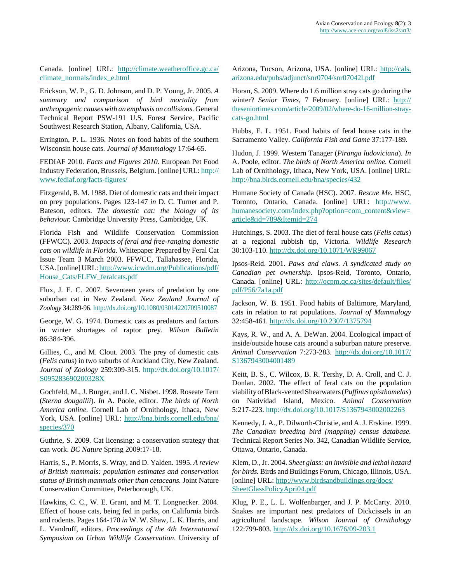Canada. [online] URL: [http://climate.weatheroffice.gc.ca/](http://climate.weatheroffice.gc.ca/climate_normals/index_e.html) [climate\\_normals/index\\_e.html](http://climate.weatheroffice.gc.ca/climate_normals/index_e.html) 

Erickson, W. P., G. D. Johnson, and D. P. Young, Jr. 2005. *A summary and comparison of bird mortality from anthropogenic causes with an emphasis on collisions.* General Technical Report PSW-191 U.S. Forest Service, Pacific Southwest Research Station, Albany, California, USA.

Errington, P. L. 1936. Notes on food habits of the southern Wisconsin house cats. *Journal of Mammalogy* 17:64-65.

FEDIAF 2010. *Facts and Figures 2010.* European Pet Food Industry Federation, Brussels, Belgium. [online] URL: [http://](http://www.fediaf.org/facts-figures/) [www.fediaf.org/facts-figures/](http://www.fediaf.org/facts-figures/) 

Fitzgerald, B. M. 1988. Diet of domestic cats and their impact on prey populations. Pages 123-147 *in* D. C. Turner and P. Bateson, editors. *The domestic cat: the biology of its behaviour.* Cambridge University Press, Cambridge, UK.

Florida Fish and Wildlife Conservation Commission (FFWCC). 2003. *Impacts of feral and free-ranging domestic cats on wildlife in Florida*. Whitepaper Prepared by Feral Cat Issue Team 3 March 2003. FFWCC, Tallahassee, Florida, USA. [online] URL: [http://www.icwdm.org/Publications/pdf/](http://www.icwdm.org/Publications/pdf/House_Cats/FLFW_feralcats.pdf) [House\\_Cats/FLFW\\_feralcats.pdf](http://www.icwdm.org/Publications/pdf/House_Cats/FLFW_feralcats.pdf)

Flux, J. E. C. 2007. Seventeen years of predation by one suburban cat in New Zealand. *New Zealand Journal of Zoology* 34:289-96. <http://dx.doi.org/10.1080/03014220709510087>

George, W. G. 1974. Domestic cats as predators and factors in winter shortages of raptor prey. *Wilson Bulletin* 86:384-396.

Gillies, C., and M. Clout. 2003. The prey of domestic cats (*Felis catus*) in two suburbs of Auckland City, New Zealand. *Journal of Zoology* 259:309-315. [http://dx.doi.org/10.1017/](http://dx.doi.org/10.1017/S095283690200328X) [S095283690200328X](http://dx.doi.org/10.1017/S095283690200328X)

Gochfeld, M., J. Burger, and I. C. Nisbet. 1998. Roseate Tern (*Sterna dougallii*). *In* A. Poole, editor. *The birds of North America online.* Cornell Lab of Ornithology, Ithaca, New York, USA. [online] URL: [http://bna.birds.cornell.edu/bna/](http://bna.birds.cornell.edu/bna/species/370) [species/370](http://bna.birds.cornell.edu/bna/species/370) 

Guthrie, S. 2009. Cat licensing: a conservation strategy that can work. *BC Nature* Spring 2009:17-18.

Harris, S., P. Morris, S. Wray, and D. Yalden. 1995. *A review of British mammals: population estimates and conservation status of British mammals other than cetaceans.* Joint Nature Conservation Committee, Peterborough, UK.

Hawkins, C. C., W. E. Grant, and M. T. Longnecker. 2004. Effect of house cats, being fed in parks, on California birds and rodents. Pages 164-170 *in* W. W. Shaw, L. K. Harris, and L. Vandruff, editors. *Proceedings of the 4th International Symposium on Urban Wildlife Conservation*. University of Arizona, Tucson, Arizona, USA. [online] URL: [http://cals.](http://cals.arizona.edu/pubs/adjunct/snr0704/snr07042l.pdf) [arizona.edu/pubs/adjunct/snr0704/snr07042l.pdf](http://cals.arizona.edu/pubs/adjunct/snr0704/snr07042l.pdf) 

Horan, S. 2009. Where do 1.6 million stray cats go during the winter? *Senior Times*, 7 February. [online] URL: [http://](http://theseniortimes.com/article/2009/02/where-do-16-million-stray-cats-go.html) [theseniortimes.com/article/2009/02/where-do-16-million-stray](http://theseniortimes.com/article/2009/02/where-do-16-million-stray-cats-go.html)[cats-go.html](http://theseniortimes.com/article/2009/02/where-do-16-million-stray-cats-go.html)

Hubbs, E. L. 1951. Food habits of feral house cats in the Sacramento Valley. *California Fish and Game* 37:177-189.

Hudon, J. 1999. Western Tanager (*Piranga ludoviciana*). *In* A. Poole, editor. *The birds of North America online.* Cornell Lab of Ornithology, Ithaca, New York, USA. [online] URL: <http://bna.birds.cornell.edu/bna/species/432>

Humane Society of Canada (HSC). 2007. *Rescue Me.* HSC, Toronto, Ontario, Canada. [online] URL: [http://www.](http://www.humanesociety.com/index.php?option=com_content&view=article&id=789&Itemid=274) [humanesociety.com/index.php?option=com\\_content&view=](http://www.humanesociety.com/index.php?option=com_content&view=article&id=789&Itemid=274) [article&id=789&Itemid=274](http://www.humanesociety.com/index.php?option=com_content&view=article&id=789&Itemid=274)

Hutchings, S. 2003. The diet of feral house cats (*Felis catus*) at a regional rubbish tip, Victoria. *Wildlife Research* 30:103-110.<http://dx.doi.org/10.1071/WR99067>

Ipsos-Reid. 2001. *Paws and claws. A syndicated study on Canadian pet ownership.* Ipsos-Reid, Toronto, Ontario, Canada. [online] URL: [http://ocpm.qc.ca/sites/default/files/](http://ocpm.qc.ca/sites/default/files/pdf/P56/7a1a.pdf) [pdf/P56/7a1a.pdf](http://ocpm.qc.ca/sites/default/files/pdf/P56/7a1a.pdf)

Jackson, W. B. 1951. Food habits of Baltimore, Maryland, cats in relation to rat populations. *Journal of Mammalogy* 32:458-461.<http://dx.doi.org/10.2307/1375794>

Kays, R. W., and A. A. DeWan. 2004. Ecological impact of inside/outside house cats around a suburban nature preserve. *Animal Conservation* 7:273-283. [http://dx.doi.org/10.1017/](http://dx.doi.org/10.1017/S1367943004001489) [S1367943004001489](http://dx.doi.org/10.1017/S1367943004001489)

Keitt, B. S., C. Wilcox, B. R. Tershy, D. A. Croll, and C. J. Donlan. 2002. The effect of feral cats on the population viability of Black-vented Shearwaters (*Puffinus opisthomelas*) on Natividad Island, Mexico. *Animal Conservation* 5:217-223.<http://dx.doi.org/10.1017/S1367943002002263>

Kennedy, J. A., P. Dilworth-Christie, and A. J. Erskine. 1999. *The Canadian breeding bird (mapping) census database.* Technical Report Series No. 342, Canadian Wildlife Service, Ottawa, Ontario, Canada.

Klem, D., Jr. 2004. *Sheet glass: an invisible and lethal hazard for birds.* Birds and Buildings Forum, Chicago, Illinois, USA. [online] URL: [http://www.birdsandbuildings.org/docs/](http://www.birdsandbuildings.org/docs/SheetGlassPolicyApri04.pdf) [SheetGlassPolicyApri04.pdf](http://www.birdsandbuildings.org/docs/SheetGlassPolicyApri04.pdf)

Klug, P. E., L. L. Wolfenbarger, and J. P. McCarty. 2010. Snakes are important nest predators of Dickcissels in an agricultural landscape. *Wilson Journal of Ornithology* 122:799-803.<http://dx.doi.org/10.1676/09-203.1>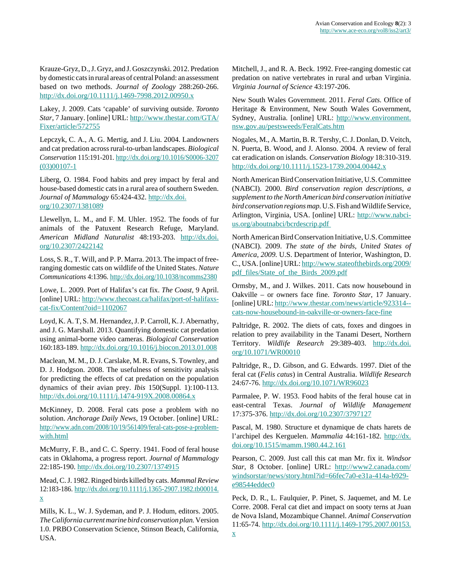Krauze-Gryz, D., J. Gryz, and J. Goszczynski. 2012. Predation by domestic cats in rural areas of central Poland: an assessment based on two methods. *Journal of Zoology* 288:260-266. <http://dx.doi.org/10.1111/j.1469-7998.2012.00950.x>

Lakey, J. 2009. Cats 'capable' of surviving outside. *Toronto Star*, 7 January. [online] URL: [http://www.thestar.com/GTA/](http://www.thestar.com/GTA/Fixer/article/572755) [Fixer/article/572755](http://www.thestar.com/GTA/Fixer/article/572755)

Lepczyk, C. A., A. G. Mertig, and J. Liu. 2004. Landowners and cat predation across rural-to-urban landscapes. *Biological Conservation* 115:191-201. [http://dx.doi.org/10.1016/S0006-3207](http://dx.doi.org/10.1016/S0006-3207(03)00107-1) [\(03\)00107-1](http://dx.doi.org/10.1016/S0006-3207(03)00107-1)

Liberg, O. 1984. Food habits and prey impact by feral and house-based domestic cats in a rural area of southern Sweden. *Journal of Mammalogy* 65:424-432. [http://dx.doi.](http://dx.doi.org/10.2307/1381089) [org/10.2307/1381089](http://dx.doi.org/10.2307/1381089)

Llewellyn, L. M., and F. M. Uhler. 1952. The foods of fur animals of the Patuxent Research Refuge, Maryland. *American Midland Naturalist* 48:193-203. [http://dx.doi.](http://dx.doi.org/10.2307/2422142) [org/10.2307/2422142](http://dx.doi.org/10.2307/2422142)

Loss, S. R., T. Will, and P. P. Marra. 2013. The impact of freeranging domestic cats on wildlife of the United States. *Nature Communications* 4:1396.<http://dx.doi.org/10.1038/ncomms2380>

Lowe, L. 2009. Port of Halifax's cat fix. *The Coast*, 9 April. [online] URL: [http://www.thecoast.ca/halifax/port-of-halifaxs](http://www.thecoast.ca/halifax/port-of-halifaxs-cat-fix/Content?oid=1102067)[cat-fix/Content?oid=1102067](http://www.thecoast.ca/halifax/port-of-halifaxs-cat-fix/Content?oid=1102067)

Loyd, K. A. T, S. M. Hernandez, J. P. Carroll, K. J. Abernathy, and J. G. Marshall. 2013. Quantifying domestic cat predation using animal-borne video cameras. *Biological Conservation* 160:183-189.<http://dx.doi.org/10.1016/j.biocon.2013.01.008>

Maclean, M. M., D. J. Carslake, M. R. Evans, S. Townley, and D. J. Hodgson. 2008. The usefulness of sensitivity analysis for predicting the effects of cat predation on the population dynamics of their avian prey. *Ibis* 150(Suppl. 1):100-113. <http://dx.doi.org/10.1111/j.1474-919X.2008.00864.x>

McKinney, D. 2008. Feral cats pose a problem with no solution. *Anchorage Daily News,* 19 October. [online] URL: [http://www.adn.com/2008/10/19/561409/feral-cats-pose-a-problem](http://www.adn.com/2008/10/19/561409/feral-cats-pose-a-problem-with.html)[with.html](http://www.adn.com/2008/10/19/561409/feral-cats-pose-a-problem-with.html)

McMurry, F. B., and C. C. Sperry. 1941. Food of feral house cats in Oklahoma, a progress report. *Journal of Mammalogy* 22:185-190.<http://dx.doi.org/10.2307/1374915>

Mead, C. J. 1982. Ringed birds killed by cats. *Mammal Review* 12:183-186. [http://dx.doi.org/10.1111/j.1365-2907.1982.tb00014.](http://dx.doi.org/10.1111/j.1365-2907.1982.tb00014.x) [x](http://dx.doi.org/10.1111/j.1365-2907.1982.tb00014.x)

Mills, K. L., W. J. Sydeman, and P. J. Hodum, editors. 2005. *The California current marine bird conservation plan.* Version 1.0. PRBO Conservation Science, Stinson Beach, California, USA.

Mitchell, J., and R. A. Beck. 1992. Free-ranging domestic cat predation on native vertebrates in rural and urban Virginia. *Virginia Journal of Science* 43:197-206.

New South Wales Government. 2011. *Feral Cats.* Office of Heritage & Environment, New South Wales Government, Sydney, Australia. [online] URL: [http://www.environment.](http://www.environment.nsw.gov.au/pestsweeds/FeralCats.htm) [nsw.gov.au/pestsweeds/FeralCats.htm](http://www.environment.nsw.gov.au/pestsweeds/FeralCats.htm)

Nogales, M., A. Martin, B. R. Tershy, C. J. Donlan, D. Veitch, N. Puerta, B. Wood, and J. Alonso. 2004. A review of feral cat eradication on islands. *Conservation Biology* 18:310-319. <http://dx.doi.org/10.1111/j.1523-1739.2004.00442.x>

North American Bird Conservation Initiative, U.S. Committee (NABCI). 2000. *Bird conservation region descriptions, a supplement to the North American bird conservation initiative bird conservation regions map.* U.S. Fish and Wildlife Service, Arlington, Virginia, USA. [online] URL: [http://www.nabci](http://www.nabci-us.org/aboutnabci/bcrdescrip.pdf )[us.org/aboutnabci/bcrdescrip.pdf](http://www.nabci-us.org/aboutnabci/bcrdescrip.pdf ) 

North American Bird Conservation Initiative, U.S. Committee (NABCI). 2009. *The state of the birds, United States of America, 2009.* U.S. Department of Interior, Washington, D. C., USA. [online] URL: [http://www.stateofthebirds.org/2009/](http://www.stateofthebirds.org/2009/pdf_files/State_of_the_Birds_2009.pdf) [pdf\\_files/State\\_of\\_the\\_Birds\\_2009.pdf](http://www.stateofthebirds.org/2009/pdf_files/State_of_the_Birds_2009.pdf)

Ormsby, M., and J. Wilkes. 2011. Cats now housebound in Oakville – or owners face fine. *Toronto Star*, 17 January. [online] URL: [http://www.thestar.com/news/article/923314-](http://www.thestar.com/news/article/923314--cats-now-housebound-in-oakville-or-owners-face-fine) [cats-now-housebound-in-oakville-or-owners-face-fine](http://www.thestar.com/news/article/923314--cats-now-housebound-in-oakville-or-owners-face-fine)

Paltridge, R. 2002. The diets of cats, foxes and dingoes in relation to prey availability in the Tanami Desert, Northern Territory. *Wildlife Research* 29:389-403. [http://dx.doi.](http://dx.doi.org/10.1071/WR00010) [org/10.1071/WR00010](http://dx.doi.org/10.1071/WR00010)

Paltridge, R., D. Gibson, and G. Edwards. 1997. Diet of the feral cat (*Felis catus*) in Central Australia. *Wildlife Research* 24:67-76.<http://dx.doi.org/10.1071/WR96023>

Parmalee, P. W. 1953. Food habits of the feral house cat in east-central Texas. *Journal of Wildlife Management* 17:375-376.<http://dx.doi.org/10.2307/3797127>

Pascal, M. 1980. Structure et dynamique de chats harets de l'archipel des Kerguelen. *Mammalia* 44:161-182. [http://dx.](http://dx.doi.org/10.1515/mamm.1980.44.2.161) [doi.org/10.1515/mamm.1980.44.2.161](http://dx.doi.org/10.1515/mamm.1980.44.2.161)

Pearson, C. 2009. Just call this cat man Mr. fix it. *Windsor Star*, 8 October. [online] URL: [http://www2.canada.com/](http://www2.canada.com/windsorstar/news/story.html?id=66fec7a0-e31a-414a-b929-e98544eddec0) [windsorstar/news/story.html?id=66fec7a0-e31a-414a-b929](http://www2.canada.com/windsorstar/news/story.html?id=66fec7a0-e31a-414a-b929-e98544eddec0) [e98544eddec0](http://www2.canada.com/windsorstar/news/story.html?id=66fec7a0-e31a-414a-b929-e98544eddec0)

Peck, D. R., L. Faulquier, P. Pinet, S. Jaquemet, and M. Le Corre. 2008. Feral cat diet and impact on sooty terns at Juan de Nova Island, Mozambique Channel. *Animal Conservation* 11:65-74. [http://dx.doi.org/10.1111/j.1469-1795.2007.00153.](http://dx.doi.org/10.1111/j.1469-1795.2007.00153.x)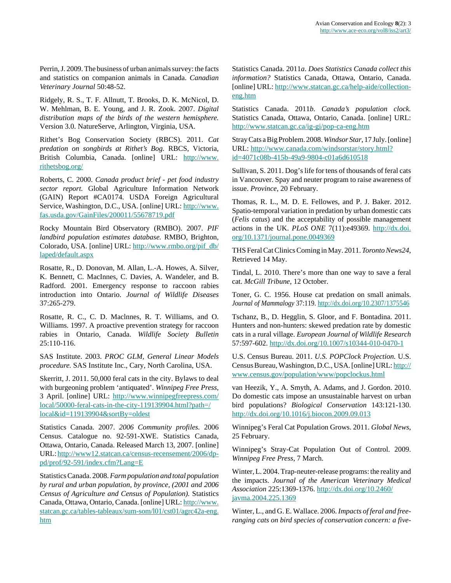Perrin, J. 2009. The business of urban animals survey: the facts and statistics on companion animals in Canada. *Canadian Veterinary Journal* 50:48-52.

Ridgely, R. S., T. F. Allnutt, T. Brooks, D. K. McNicol, D. W. Mehlman, B. E. Young, and J. R. Zook. 2007. *Digital distribution maps of the birds of the western hemisphere.* Version 3.0. NatureServe, Arlington, Virginia, USA.

Rithet's Bog Conservation Society (RBCS). 2011. *Cat predation on songbirds at Rithet's Bog.* RBCS, Victoria, British Columbia, Canada. [online] URL: [http://www.](http://www.rithetsbog.org/) [rithetsbog.org/](http://www.rithetsbog.org/)

Roberts, C. 2000. *Canada product brief - pet food industry sector report.* Global Agriculture Information Network (GAIN) Report #CA0174. USDA Foreign Agricultural Service, Washington, D.C., USA. [online] URL: [http://www.](http://www.fas.usda.gov/GainFiles/200011/55678719.pdf) [fas.usda.gov/GainFiles/200011/55678719.pdf](http://www.fas.usda.gov/GainFiles/200011/55678719.pdf)

Rocky Mountain Bird Observatory (RMBO). 2007. *PIF landbird population estimates database.* RMBO, Brighton, Colorado, USA. [online] URL: [http://www.rmbo.org/pif\\_db/](http://www.rmbo.org/pif_db/laped/default.aspx) [laped/default.aspx](http://www.rmbo.org/pif_db/laped/default.aspx)

Rosatte, R., D. Donovan, M. Allan, L.-A. Howes, A. Silver, K. Bennett, C. MacInnes, C. Davies, A. Wandeler, and B. Radford. 2001. Emergency response to raccoon rabies introduction into Ontario. *Journal of Wildlife Diseases* 37:265-279.

Rosatte, R. C., C. D. Maclnnes, R. T. Williams, and O. Williams. 1997. A proactive prevention strategy for raccoon rabies in Ontario, Canada. *Wildlife Society Bulletin* 25:110-116.

SAS Institute. 2003. *PROC GLM, General Linear Models procedure.* SAS Institute Inc., Cary, North Carolina, USA.

Skerritt, J. 2011. 50,000 feral cats in the city. Bylaws to deal with burgeoning problem 'antiquated'. *Winnipeg Free Press*, 3 April. [online] URL: [http://www.winnipegfreepress.com/](http://www.winnipegfreepress.com/local/50000-feral-cats-in-the-city-119139904.html?path=/local&id=119139904&sortBy=oldest) [local/50000-feral-cats-in-the-city-119139904.html?path=/](http://www.winnipegfreepress.com/local/50000-feral-cats-in-the-city-119139904.html?path=/local&id=119139904&sortBy=oldest) [local&id=119139904&sortBy=oldest](http://www.winnipegfreepress.com/local/50000-feral-cats-in-the-city-119139904.html?path=/local&id=119139904&sortBy=oldest)

Statistics Canada. 2007. *2006 Community profiles.* 2006 Census. Catalogue no. 92-591-XWE. Statistics Canada, Ottawa, Ontario, Canada. Released March 13, 2007. [online] URL: [http://www12.statcan.ca/census-recensement/2006/dp](http://www12.statcan.ca/census-recensement/2006/dp-pd/prof/92-591/index.cfm?Lang=E)[pd/prof/92-591/index.cfm?Lang=E](http://www12.statcan.ca/census-recensement/2006/dp-pd/prof/92-591/index.cfm?Lang=E)

Statistics Canada. 2008. *Farm population and total population by rural and urban population, by province, (2001 and 2006 Census of Agriculture and Census of Population).* Statistics Canada, Ottawa, Ontario, Canada. [online] URL: [http://www.](http://www.statcan.gc.ca/tables-tableaux/sum-som/l01/cst01/agrc42a-eng.htm) [statcan.gc.ca/tables-tableaux/sum-som/l01/cst01/agrc42a-eng.](http://www.statcan.gc.ca/tables-tableaux/sum-som/l01/cst01/agrc42a-eng.htm) [htm](http://www.statcan.gc.ca/tables-tableaux/sum-som/l01/cst01/agrc42a-eng.htm) 

Statistics Canada. 2011*a*. *Does Statistics Canada collect this information?* Statistics Canada, Ottawa, Ontario, Canada. [online] URL: [http://www.statcan.gc.ca/help-aide/collection](http://www.statcan.gc.ca/help-aide/collection-eng.htm)[eng.htm](http://www.statcan.gc.ca/help-aide/collection-eng.htm) 

Statistics Canada. 2011*b*. *Canada's population clock.* Statistics Canada, Ottawa, Ontario, Canada. [online] URL: <http://www.statcan.gc.ca/ig-gi/pop-ca-eng.htm>

Stray Cats a Big Problem. 2008. *Windsor Star*, 17 July. [online] URL: [http://www.canada.com/windsorstar/story.html?](http://www.canada.com/windsorstar/story.html?id=4071c08b-415b-49a9-9804-c01a6d610518) [id=4071c08b-415b-49a9-9804-c01a6d610518](http://www.canada.com/windsorstar/story.html?id=4071c08b-415b-49a9-9804-c01a6d610518)

Sullivan, S. 2011. Dog's life for tens of thousands of feral cats in Vancouver. Spay and neuter program to raise awareness of issue. *Province*, 20 February.

Thomas, R. L., M. D. E. Fellowes, and P. J. Baker. 2012. Spatio-temporal variation in predation by urban domestic cats (*Felis catus*) and the acceptability of possible management actions in the UK. *PLoS ONE* 7(11):e49369. [http://dx.doi.](http://dx.doi.org/10.1371/journal.pone.0049369) [org/10.1371/journal.pone.0049369](http://dx.doi.org/10.1371/journal.pone.0049369)

THS Feral Cat Clinics Coming in May. 2011. *Toronto News24*, Retrieved 14 May.

Tindal, L. 2010. There's more than one way to save a feral cat. *McGill Tribune*, 12 October.

Toner, G. C. 1956. House cat predation on small animals. *Journal of Mammalogy* 37:119.<http://dx.doi.org/10.2307/1375546>

Tschanz, B., D. Hegglin, S. Gloor, and F. Bontadina. 2011. Hunters and non-hunters: skewed predation rate by domestic cats in a rural village. *European Journal of Wildlife Research* 57:597-602.<http://dx.doi.org/10.1007/s10344-010-0470-1>

U.S. Census Bureau. 2011. *U.S. POPClock Projection.* U.S. Census Bureau, Washington, D.C., USA. [online] URL: [http://](http://www.census.gov/population/www/popclockus.html) [www.census.gov/population/www/popclockus.html](http://www.census.gov/population/www/popclockus.html)

van Heezik, Y., A. Smyth, A. Adams, and J. Gordon. 2010. Do domestic cats impose an unsustainable harvest on urban bird populations? *Biological Conservation* 143:121-130. <http://dx.doi.org/10.1016/j.biocon.2009.09.013>

Winnipeg's Feral Cat Population Grows. 2011. *Global News*, 25 February.

Winnipeg's Stray-Cat Population Out of Control. 2009. *Winnipeg Free Press*, 7 March.

Winter, L. 2004. Trap-neuter-release programs: the reality and the impacts. *Journal of the American Veterinary Medical Association* 225:1369-1376. [http://dx.doi.org/10.2460/](http://dx.doi.org/10.2460/javma.2004.225.1369) [javma.2004.225.1369](http://dx.doi.org/10.2460/javma.2004.225.1369)

Winter, L., and G. E. Wallace. 2006. *Impacts of feral and freeranging cats on bird species of conservation concern: a five-*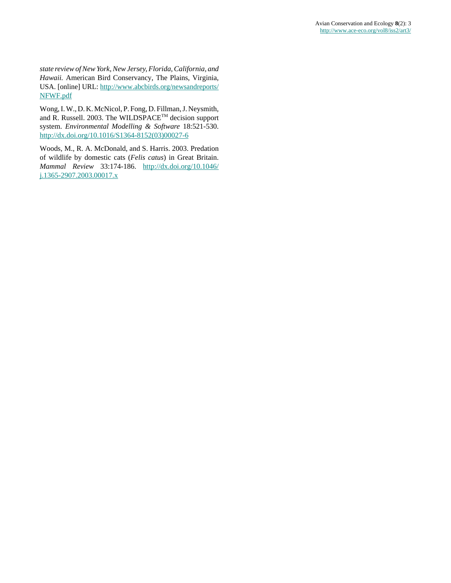*state review of New York, New Jersey, Florida, California, and Hawaii.* American Bird Conservancy, The Plains, Virginia, USA. [online] URL: [http://www.abcbirds.org/newsandreports/](http://www.abcbirds.org/newsandreports/NFWF.pdf) [NFWF.pdf](http://www.abcbirds.org/newsandreports/NFWF.pdf) 

Wong, I. W., D. K. McNicol, P. Fong, D. Fillman, J. Neysmith, and R. Russell. 2003. The WILDSPACETM decision support system. *Environmental Modelling & Software* 18:521-530. [http://dx.doi.org/10.1016/S1364-8152\(03\)00027-6](http://dx.doi.org/10.1016/S1364-8152(03)00027-6)

Woods, M., R. A. McDonald, and S. Harris. 2003. Predation of wildlife by domestic cats (*Felis catus*) in Great Britain. *Mammal Review* 33:174-186. [http://dx.doi.org/10.1046/](http://dx.doi.org/10.1046/j.1365-2907.2003.00017.x) [j.1365-2907.2003.00017.x](http://dx.doi.org/10.1046/j.1365-2907.2003.00017.x)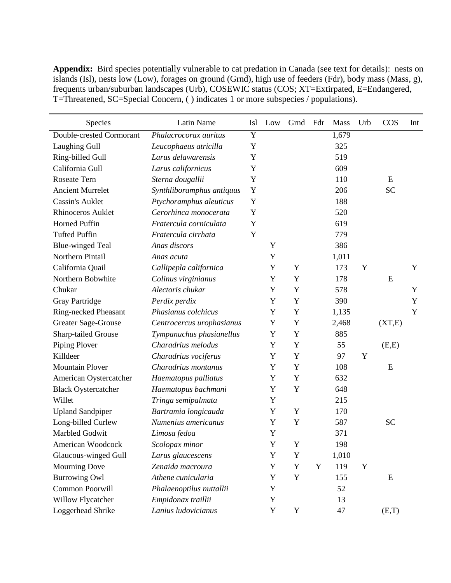**Appendix:** Bird species potentially vulnerable to cat predation in Canada (see text for details): nests on islands (Isl), nests low (Low), forages on ground (Grnd), high use of feeders (Fdr), body mass (Mass, g), frequents urban/suburban landscapes (Urb), COSEWIC status (COS; XT=Extirpated, E=Endangered, T=Threatened, SC=Special Concern, ( ) indicates 1 or more subspecies / populations).

| Species                    | Latin Name                | Isl | Low | Grnd        | Fdr | <b>Mass</b> | Urb | <b>COS</b> | Int |
|----------------------------|---------------------------|-----|-----|-------------|-----|-------------|-----|------------|-----|
| Double-crested Cormorant   | Phalacrocorax auritus     | Y   |     |             |     | 1,679       |     |            |     |
| <b>Laughing Gull</b>       | Leucophaeus atricilla     | Y   |     |             |     | 325         |     |            |     |
| Ring-billed Gull           | Larus delawarensis        | Y   |     |             |     | 519         |     |            |     |
| California Gull            | Larus californicus        | Y   |     |             |     | 609         |     |            |     |
| <b>Roseate Tern</b>        | Sterna dougallii          | Y   |     |             |     | 110         |     | E          |     |
| <b>Ancient Murrelet</b>    | Synthliboramphus antiquus | Y   |     |             |     | 206         |     | <b>SC</b>  |     |
| <b>Cassin's Auklet</b>     | Ptychoramphus aleuticus   | Y   |     |             |     | 188         |     |            |     |
| <b>Rhinoceros Auklet</b>   | Cerorhinca monocerata     | Y   |     |             |     | 520         |     |            |     |
| <b>Horned Puffin</b>       | Fratercula corniculata    | Y   |     |             |     | 619         |     |            |     |
| <b>Tufted Puffin</b>       | Fratercula cirrhata       | Y   |     |             |     | 779         |     |            |     |
| <b>Blue-winged Teal</b>    | Anas discors              |     | Y   |             |     | 386         |     |            |     |
| Northern Pintail           | Anas acuta                |     | Y   |             |     | 1,011       |     |            |     |
| California Quail           | Callipepla californica    |     | Y   | Y           |     | 173         | Y   |            | Y   |
| Northern Bobwhite          | Colinus virginianus       |     | Y   | Y           |     | 178         |     | E          |     |
| Chukar                     | Alectoris chukar          |     | Y   | Y           |     | 578         |     |            | Y   |
| <b>Gray Partridge</b>      | Perdix perdix             |     | Y   | Y           |     | 390         |     |            | Y   |
| Ring-necked Pheasant       | Phasianus colchicus       |     | Y   | Y           |     | 1,135       |     |            | Y   |
| <b>Greater Sage-Grouse</b> | Centrocercus urophasianus |     | Y   | Y           |     | 2,468       |     | (XT,E)     |     |
| <b>Sharp-tailed Grouse</b> | Tympanuchus phasianellus  |     | Y   | Y           |     | 885         |     |            |     |
| Piping Plover              | Charadrius melodus        |     | Y   | Y           |     | 55          |     | (E,E)      |     |
| Killdeer                   | Charadrius vociferus      |     | Y   | Y           |     | 97          | Y   |            |     |
| <b>Mountain Plover</b>     | Charadrius montanus       |     | Y   | Y           |     | 108         |     | E          |     |
| American Oystercatcher     | Haematopus palliatus      |     | Y   | Y           |     | 632         |     |            |     |
| <b>Black Oystercatcher</b> | Haematopus bachmani       |     | Y   | Y           |     | 648         |     |            |     |
| Willet                     | Tringa semipalmata        |     | Y   |             |     | 215         |     |            |     |
| <b>Upland Sandpiper</b>    | Bartramia longicauda      |     | Y   | Y           |     | 170         |     |            |     |
| Long-billed Curlew         | Numenius americanus       |     | Y   | Y           |     | 587         |     | <b>SC</b>  |     |
| Marbled Godwit             | Limosa fedoa              |     | Y   |             |     | 371         |     |            |     |
| American Woodcock          | Scolopax minor            |     | Y   | Y           |     | 198         |     |            |     |
| Glaucous-winged Gull       | Larus glaucescens         |     | Y   | Y           |     | 1,010       |     |            |     |
| <b>Mourning Dove</b>       | Zenaida macroura          |     | Y   | Y           | Y   | 119         | Y   |            |     |
| <b>Burrowing Owl</b>       | Athene cunicularia        |     | Y   | $\mathbf Y$ |     | 155         |     | ${\bf E}$  |     |
| Common Poorwill            | Phalaenoptilus nuttallii  |     | Y   |             |     | 52          |     |            |     |
| Willow Flycatcher          | Empidonax traillii        |     | Y   |             |     | 13          |     |            |     |
| Loggerhead Shrike          | Lanius ludovicianus       |     | Y   | Y           |     | 47          |     | (E,T)      |     |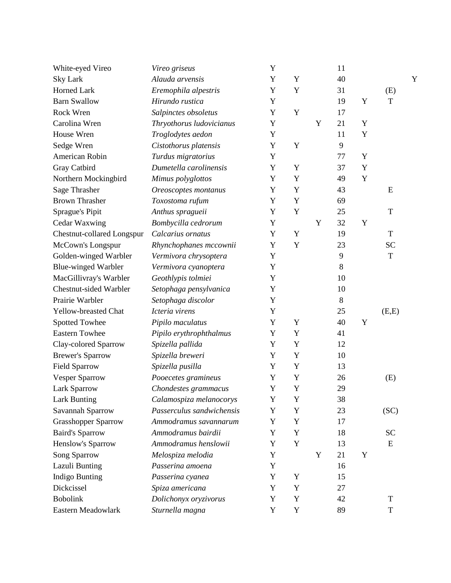| White-eyed Vireo           | Vireo griseus             | Y |             |   | 11 |             |             |   |
|----------------------------|---------------------------|---|-------------|---|----|-------------|-------------|---|
| <b>Sky Lark</b>            | Alauda arvensis           | Y | Y           |   | 40 |             |             | Y |
| <b>Horned Lark</b>         | Eremophila alpestris      | Y | Y           |   | 31 |             | (E)         |   |
| <b>Barn Swallow</b>        | Hirundo rustica           | Y |             |   | 19 | Y           | $\mathbf T$ |   |
| Rock Wren                  | Salpinctes obsoletus      | Y | Y           |   | 17 |             |             |   |
| Carolina Wren              | Thryothorus ludovicianus  | Y |             | Y | 21 | Y           |             |   |
| House Wren                 | Troglodytes aedon         | Y |             |   | 11 | Y           |             |   |
| Sedge Wren                 | Cistothorus platensis     | Y | Y           |   | 9  |             |             |   |
| American Robin             | Turdus migratorius        | Y |             |   | 77 | Y           |             |   |
| Gray Catbird               | Dumetella carolinensis    | Y | Y           |   | 37 | Y           |             |   |
| Northern Mockingbird       | Mimus polyglottos         | Y | Y           |   | 49 | $\mathbf Y$ |             |   |
| Sage Thrasher              | Oreoscoptes montanus      | Y | Y           |   | 43 |             | E           |   |
| <b>Brown Thrasher</b>      | Toxostoma rufum           | Y | Y           |   | 69 |             |             |   |
| Sprague's Pipit            | Anthus spragueii          | Y | Y           |   | 25 |             | T           |   |
| Cedar Waxwing              | Bombycilla cedrorum       | Y |             | Y | 32 | Y           |             |   |
| Chestnut-collared Longspur | Calcarius ornatus         | Y | Y           |   | 19 |             | T           |   |
| McCown's Longspur          | Rhynchophanes mccownii    | Y | Y           |   | 23 |             | SC          |   |
| Golden-winged Warbler      | Vermivora chrysoptera     | Y |             |   | 9  |             | $\mathbf T$ |   |
| <b>Blue-winged Warbler</b> | Vermivora cyanoptera      | Y |             |   | 8  |             |             |   |
| MacGillivray's Warbler     | Geothlypis tolmiei        | Y |             |   | 10 |             |             |   |
| Chestnut-sided Warbler     | Setophaga pensylvanica    | Y |             |   | 10 |             |             |   |
| Prairie Warbler            | Setophaga discolor        | Y |             |   | 8  |             |             |   |
| Yellow-breasted Chat       | Icteria virens            | Y |             |   | 25 |             | (E,E)       |   |
| Spotted Towhee             | Pipilo maculatus          | Y | Y           |   | 40 | Y           |             |   |
| <b>Eastern Towhee</b>      | Pipilo erythrophthalmus   | Y | Y           |   | 41 |             |             |   |
| Clay-colored Sparrow       | Spizella pallida          | Y | Y           |   | 12 |             |             |   |
| <b>Brewer's Sparrow</b>    | Spizella breweri          | Y | Y           |   | 10 |             |             |   |
| <b>Field Sparrow</b>       | Spizella pusilla          | Y | Y           |   | 13 |             |             |   |
| <b>Vesper Sparrow</b>      | Pooecetes gramineus       | Y | Y           |   | 26 |             | (E)         |   |
| Lark Sparrow               | Chondestes grammacus      | Y | Y           |   | 29 |             |             |   |
| <b>Lark Bunting</b>        | Calamospiza melanocorys   | Y | Y           |   | 38 |             |             |   |
| Savannah Sparrow           | Passerculus sandwichensis | Y | Y           |   | 23 |             | (SC)        |   |
| <b>Grasshopper Sparrow</b> | Ammodramus savannarum     | Y | Y           |   | 17 |             |             |   |
| <b>Baird's Sparrow</b>     | Ammodramus bairdii        | Y | Y           |   | 18 |             | <b>SC</b>   |   |
| Henslow's Sparrow          | Ammodramus henslowii      | Y | $\mathbf Y$ |   | 13 |             | E           |   |
| <b>Song Sparrow</b>        | Melospiza melodia         | Y |             | Y | 21 | $\mathbf Y$ |             |   |
| Lazuli Bunting             | Passerina amoena          | Y |             |   | 16 |             |             |   |
| <b>Indigo Bunting</b>      | Passerina cyanea          | Y | Y           |   | 15 |             |             |   |
| Dickcissel                 | Spiza americana           | Y | Y           |   | 27 |             |             |   |
| <b>Bobolink</b>            | Dolichonyx oryzivorus     | Y | $\mathbf Y$ |   | 42 |             | T           |   |
| Eastern Meadowlark         | Sturnella magna           | Y | Y           |   | 89 |             | T           |   |